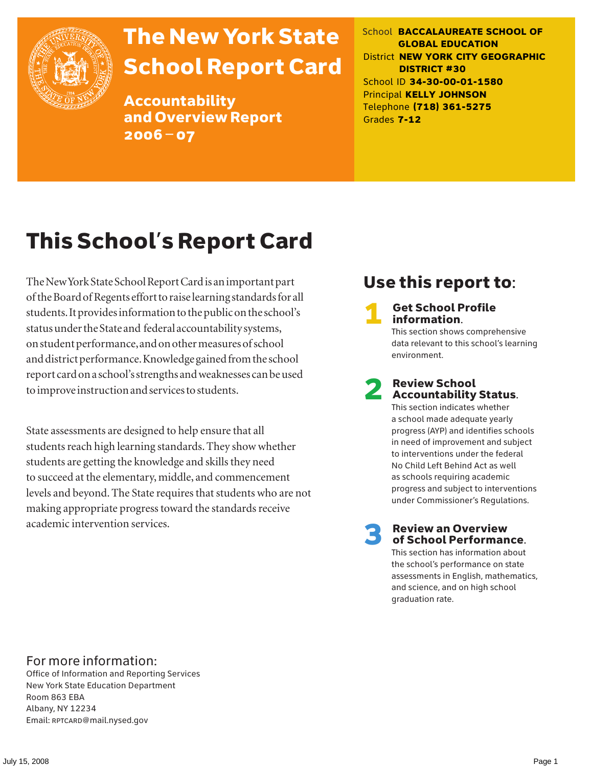

# The New York State School Report Card

Accountability and Overview Report 2006–07

School **BACCALAUREATE SCHOOL OF GLOBAL EDUCATION** District **NEW YORK CITY GEOGRAPHIC DISTRICT #30** School ID **34-30-00-01-1580** Principal **KELLY JOHNSON** Telephone **(718) 361-5275** Grades **7-12**

# This School's Report Card

The New York State School Report Card is an important part of the Board of Regents effort to raise learning standards for all students. It provides information to the public on the school's status under the State and federal accountability systems, on student performance, and on other measures of school and district performance. Knowledge gained from the school report card on a school's strengths and weaknesses can be used to improve instruction and services to students.

State assessments are designed to help ensure that all students reach high learning standards. They show whether students are getting the knowledge and skills they need to succeed at the elementary, middle, and commencement levels and beyond. The State requires that students who are not making appropriate progress toward the standards receive academic intervention services.

### Use this report to:

**Get School Profile** information.

This section shows comprehensive data relevant to this school's learning environment.

# 2 Review School Accountability Status.

This section indicates whether a school made adequate yearly progress (AYP) and identifies schools in need of improvement and subject to interventions under the federal No Child Left Behind Act as well as schools requiring academic progress and subject to interventions under Commissioner's Regulations.

**Review an Overview** of School Performance.

This section has information about the school's performance on state assessments in English, mathematics, and science, and on high school graduation rate.

### For more information:

Office of Information and Reporting Services New York State Education Department Room 863 EBA Albany, NY 12234 Email: RPTCARD@mail.nysed.gov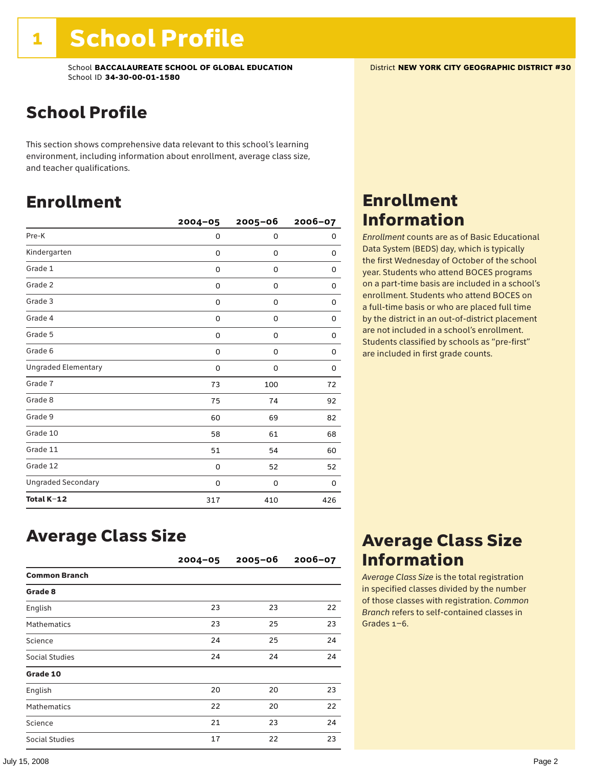### School Profile

This section shows comprehensive data relevant to this school's learning environment, including information about enrollment, average class size, and teacher qualifications.

### Enrollment

|                            | $2004 - 05$ | $2005 - 06$ | 2006-07 |
|----------------------------|-------------|-------------|---------|
| Pre-K                      | 0           | 0           | 0       |
| Kindergarten               | 0           | 0           | 0       |
| Grade 1                    | 0           | 0           | 0       |
| Grade 2                    | 0           | 0           | 0       |
| Grade 3                    | 0           | 0           | 0       |
| Grade 4                    | 0           | 0           | 0       |
| Grade 5                    | 0           | 0           | 0       |
| Grade 6                    | 0           | 0           | 0       |
| <b>Ungraded Elementary</b> | $\Omega$    | 0           | 0       |
| Grade 7                    | 73          | 100         | 72      |
| Grade 8                    | 75          | 74          | 92      |
| Grade 9                    | 60          | 69          | 82      |
| Grade 10                   | 58          | 61          | 68      |
| Grade 11                   | 51          | 54          | 60      |
| Grade 12                   | 0           | 52          | 52      |
| <b>Ungraded Secondary</b>  | 0           | 0           | 0       |
| Total K-12                 | 317         | 410         | 426     |

### Enrollment Information

*Enrollment* counts are as of Basic Educational Data System (BEDS) day, which is typically the first Wednesday of October of the school year. Students who attend BOCES programs on a part-time basis are included in a school's enrollment. Students who attend BOCES on a full-time basis or who are placed full time by the district in an out-of-district placement are not included in a school's enrollment. Students classified by schools as "pre-first" are included in first grade counts.

### Average Class Size

|                      | $2004 - 05$ | $2005 - 06$ | $2006 - 07$ |
|----------------------|-------------|-------------|-------------|
| <b>Common Branch</b> |             |             |             |
| Grade 8              |             |             |             |
| English              | 23          | 23          | 22          |
| <b>Mathematics</b>   | 23          | 25          | 23          |
| Science              | 24          | 25          | 24          |
| Social Studies       | 24          | 24          | 24          |
| Grade 10             |             |             |             |
| English              | 20          | 20          | 23          |
| <b>Mathematics</b>   | 22          | 20          | 22          |
| Science              | 21          | 23          | 24          |
| Social Studies       | 17          | 22          | 23          |

### Average Class Size Information

*Average Class Size* is the total registration in specified classes divided by the number of those classes with registration. *Common Branch* refers to self-contained classes in Grades 1–6.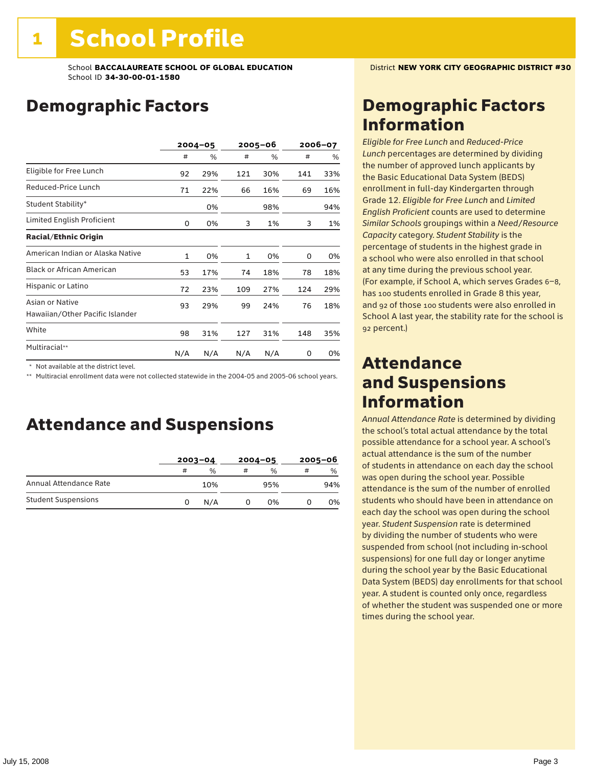## Demographic Factors

|                                                    |     | $2004 - 05$ |     | 2005-06 |     | 2006-07 |  |
|----------------------------------------------------|-----|-------------|-----|---------|-----|---------|--|
|                                                    | #   | %           | #   | %       | #   | %       |  |
| Eligible for Free Lunch                            | 92  | 29%         | 121 | 30%     | 141 | 33%     |  |
| Reduced-Price Lunch                                | 71  | 22%         | 66  | 16%     | 69  | 16%     |  |
| Student Stability*                                 |     | 0%          |     | 98%     |     | 94%     |  |
| Limited English Proficient                         | 0   | 0%          | 3   | 1%      | 3   | 1%      |  |
| <b>Racial/Ethnic Origin</b>                        |     |             |     |         |     |         |  |
| American Indian or Alaska Native                   | 1   | 0%          | 1   | 0%      | 0   | 0%      |  |
| <b>Black or African American</b>                   | 53  | 17%         | 74  | 18%     | 78  | 18%     |  |
| Hispanic or Latino                                 | 72  | 23%         | 109 | 27%     | 124 | 29%     |  |
| Asian or Native<br>Hawaiian/Other Pacific Islander | 93  | 29%         | 99  | 24%     | 76  | 18%     |  |
| White                                              | 98  | 31%         | 127 | 31%     | 148 | 35%     |  |
| Multiracial**                                      | N/A | N/A         | N/A | N/A     | 0   | 0%      |  |

\* Not available at the district level.

\*\* Multiracial enrollment data were not collected statewide in the 2004-05 and 2005-06 school years.

### Attendance and Suspensions

|                            |   | $2003 - 04$ |   | $2004 - 05$   | $2005 - 06$ |               |
|----------------------------|---|-------------|---|---------------|-------------|---------------|
|                            | # | %           | # | $\frac{0}{0}$ | #           | $\frac{0}{0}$ |
| Annual Attendance Rate     |   | 10%         |   | 95%           |             | 94%           |
| <b>Student Suspensions</b> | 0 | N/A         |   | 0%            |             | 0%            |

### Demographic Factors Information

*Eligible for Free Lunch* and *Reduced*-*Price Lunch* percentages are determined by dividing the number of approved lunch applicants by the Basic Educational Data System (BEDS) enrollment in full-day Kindergarten through Grade 12. *Eligible for Free Lunch* and *Limited English Proficient* counts are used to determine *Similar Schools* groupings within a *Need*/*Resource Capacity* category. *Student Stability* is the percentage of students in the highest grade in a school who were also enrolled in that school at any time during the previous school year. (For example, if School A, which serves Grades 6–8, has 100 students enrolled in Grade 8 this year, and 92 of those 100 students were also enrolled in School A last year, the stability rate for the school is 92 percent.)

### Attendance and Suspensions Information

*Annual Attendance Rate* is determined by dividing the school's total actual attendance by the total possible attendance for a school year. A school's actual attendance is the sum of the number of students in attendance on each day the school was open during the school year. Possible attendance is the sum of the number of enrolled students who should have been in attendance on each day the school was open during the school year. *Student Suspension* rate is determined by dividing the number of students who were suspended from school (not including in-school suspensions) for one full day or longer anytime during the school year by the Basic Educational Data System (BEDS) day enrollments for that school year. A student is counted only once, regardless of whether the student was suspended one or more times during the school year.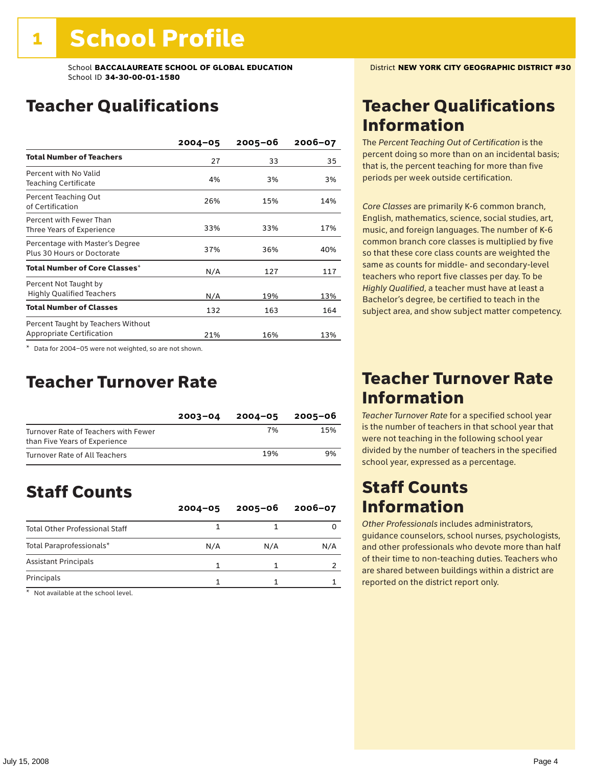### Teacher Qualifications

|                                                                 | $2004 - 05$ | $2005 - 06$ | 2006-07 |
|-----------------------------------------------------------------|-------------|-------------|---------|
| <b>Total Number of Teachers</b>                                 | 27          | 33          | 35      |
| Percent with No Valid<br><b>Teaching Certificate</b>            | 4%          | 3%          | 3%      |
| Percent Teaching Out<br>of Certification                        | 26%         | 15%         | 14%     |
| Percent with Fewer Than<br>Three Years of Experience            | 33%         | 33%         | 17%     |
| Percentage with Master's Degree<br>Plus 30 Hours or Doctorate   | 37%         | 36%         | 40%     |
| Total Number of Core Classes*                                   | N/A         | 127         | 117     |
| Percent Not Taught by<br><b>Highly Qualified Teachers</b>       | N/A         | 19%         | 13%     |
| <b>Total Number of Classes</b>                                  | 132         | 163         | 164     |
| Percent Taught by Teachers Without<br>Appropriate Certification | 21%         | 16%         | 13%     |

\* Data for 2004–05 were not weighted, so are not shown.

### Teacher Turnover Rate

|                                                                       | $2003 - 04$ | $2004 - 05$ | 2005-06 |
|-----------------------------------------------------------------------|-------------|-------------|---------|
| Turnover Rate of Teachers with Fewer<br>than Five Years of Experience |             | 7%          | 15%     |
| Turnover Rate of All Teachers                                         |             | 19%         | 9%      |

### Staff Counts

|                                       | $2004 - 05$ | $2005 - 06$ | $2006 - 07$ |
|---------------------------------------|-------------|-------------|-------------|
| <b>Total Other Professional Staff</b> |             |             |             |
| Total Paraprofessionals*              | N/A         | N/A         | N/A         |
| <b>Assistant Principals</b>           |             |             |             |
| Principals                            |             |             |             |

\* Not available at the school level.

### Teacher Qualifications Information

The *Percent Teaching Out of Certification* is the percent doing so more than on an incidental basis; that is, the percent teaching for more than five periods per week outside certification.

*Core Classes* are primarily K-6 common branch, English, mathematics, science, social studies, art, music, and foreign languages. The number of K-6 common branch core classes is multiplied by five so that these core class counts are weighted the same as counts for middle- and secondary-level teachers who report five classes per day. To be *Highly Qualified*, a teacher must have at least a Bachelor's degree, be certified to teach in the subject area, and show subject matter competency.

### Teacher Turnover Rate Information

*Teacher Turnover Rate* for a specified school year is the number of teachers in that school year that were not teaching in the following school year divided by the number of teachers in the specified school year, expressed as a percentage.

### Staff Counts Information

*Other Professionals* includes administrators, guidance counselors, school nurses, psychologists, and other professionals who devote more than half of their time to non-teaching duties. Teachers who are shared between buildings within a district are reported on the district report only.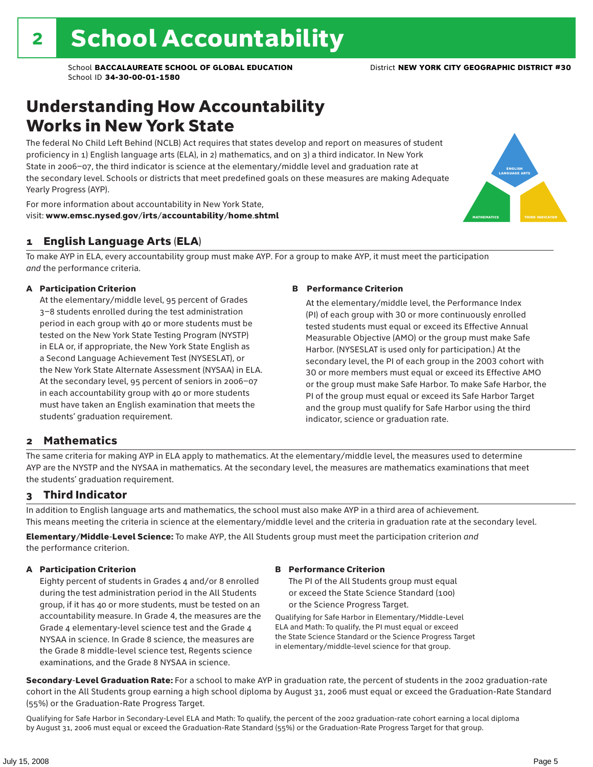### Understanding How Accountability Works in New York State

The federal No Child Left Behind (NCLB) Act requires that states develop and report on measures of student proficiency in 1) English language arts (ELA), in 2) mathematics, and on 3) a third indicator. In New York State in 2006–07, the third indicator is science at the elementary/middle level and graduation rate at the secondary level. Schools or districts that meet predefined goals on these measures are making Adequate Yearly Progress (AYP).



For more information about accountability in New York State, visit: www.emsc.nysed.gov/irts/accountability/home.shtml

#### 1 English Language Arts (ELA)

To make AYP in ELA, every accountability group must make AYP. For a group to make AYP, it must meet the participation *and* the performance criteria.

#### A Participation Criterion

At the elementary/middle level, 95 percent of Grades 3–8 students enrolled during the test administration period in each group with 40 or more students must be tested on the New York State Testing Program (NYSTP) in ELA or, if appropriate, the New York State English as a Second Language Achievement Test (NYSESLAT), or the New York State Alternate Assessment (NYSAA) in ELA. At the secondary level, 95 percent of seniors in 2006–07 in each accountability group with 40 or more students must have taken an English examination that meets the students' graduation requirement.

#### B Performance Criterion

At the elementary/middle level, the Performance Index (PI) of each group with 30 or more continuously enrolled tested students must equal or exceed its Effective Annual Measurable Objective (AMO) or the group must make Safe Harbor. (NYSESLAT is used only for participation.) At the secondary level, the PI of each group in the 2003 cohort with 30 or more members must equal or exceed its Effective AMO or the group must make Safe Harbor. To make Safe Harbor, the PI of the group must equal or exceed its Safe Harbor Target and the group must qualify for Safe Harbor using the third indicator, science or graduation rate.

#### 2 Mathematics

The same criteria for making AYP in ELA apply to mathematics. At the elementary/middle level, the measures used to determine AYP are the NYSTP and the NYSAA in mathematics. At the secondary level, the measures are mathematics examinations that meet the students' graduation requirement.

#### 3 Third Indicator

In addition to English language arts and mathematics, the school must also make AYP in a third area of achievement. This means meeting the criteria in science at the elementary/middle level and the criteria in graduation rate at the secondary level.

Elementary/Middle-Level Science: To make AYP, the All Students group must meet the participation criterion *and* the performance criterion.

#### A Participation Criterion

Eighty percent of students in Grades 4 and/or 8 enrolled during the test administration period in the All Students group, if it has 40 or more students, must be tested on an accountability measure. In Grade 4, the measures are the Grade 4 elementary-level science test and the Grade 4 NYSAA in science. In Grade 8 science, the measures are the Grade 8 middle-level science test, Regents science examinations, and the Grade 8 NYSAA in science.

#### B Performance Criterion

The PI of the All Students group must equal or exceed the State Science Standard (100) or the Science Progress Target.

Qualifying for Safe Harbor in Elementary/Middle-Level ELA and Math: To qualify, the PI must equal or exceed the State Science Standard or the Science Progress Target in elementary/middle-level science for that group.

Secondary-Level Graduation Rate: For a school to make AYP in graduation rate, the percent of students in the 2002 graduation-rate cohort in the All Students group earning a high school diploma by August 31, 2006 must equal or exceed the Graduation-Rate Standard (55%) or the Graduation-Rate Progress Target.

Qualifying for Safe Harbor in Secondary-Level ELA and Math: To qualify, the percent of the 2002 graduation-rate cohort earning a local diploma by August 31, 2006 must equal or exceed the Graduation-Rate Standard (55%) or the Graduation-Rate Progress Target for that group.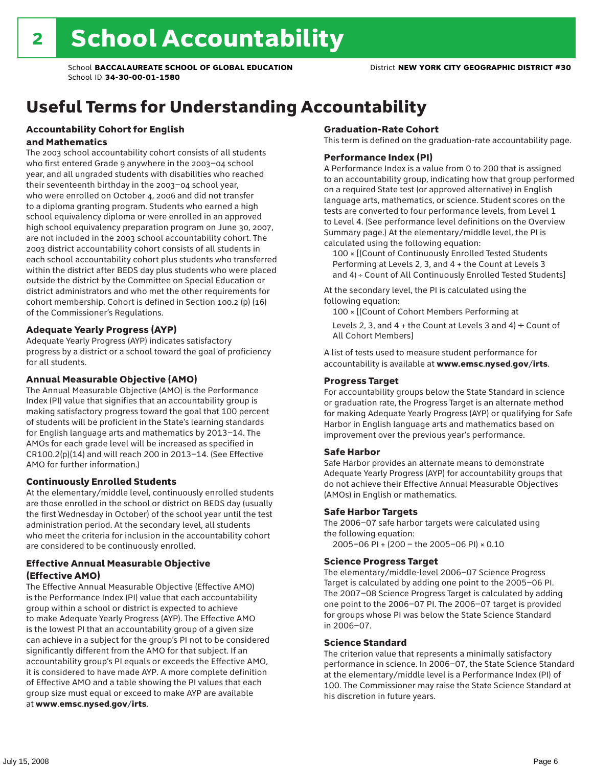## Useful Terms for Understanding Accountability

#### Accountability Cohort for English and Mathematics

The 2003 school accountability cohort consists of all students who first entered Grade 9 anywhere in the 2003–04 school year, and all ungraded students with disabilities who reached their seventeenth birthday in the 2003–04 school year, who were enrolled on October 4, 2006 and did not transfer to a diploma granting program. Students who earned a high school equivalency diploma or were enrolled in an approved high school equivalency preparation program on June 30, 2007, are not included in the 2003 school accountability cohort. The 2003 district accountability cohort consists of all students in each school accountability cohort plus students who transferred within the district after BEDS day plus students who were placed outside the district by the Committee on Special Education or district administrators and who met the other requirements for cohort membership. Cohort is defined in Section 100.2 (p) (16) of the Commissioner's Regulations.

#### Adequate Yearly Progress (AYP)

Adequate Yearly Progress (AYP) indicates satisfactory progress by a district or a school toward the goal of proficiency for all students.

#### Annual Measurable Objective (AMO)

The Annual Measurable Objective (AMO) is the Performance Index (PI) value that signifies that an accountability group is making satisfactory progress toward the goal that 100 percent of students will be proficient in the State's learning standards for English language arts and mathematics by 2013–14. The AMOs for each grade level will be increased as specified in CR100.2(p)(14) and will reach 200 in 2013–14. (See Effective AMO for further information.)

#### Continuously Enrolled Students

At the elementary/middle level, continuously enrolled students are those enrolled in the school or district on BEDS day (usually the first Wednesday in October) of the school year until the test administration period. At the secondary level, all students who meet the criteria for inclusion in the accountability cohort are considered to be continuously enrolled.

#### Effective Annual Measurable Objective (Effective AMO)

The Effective Annual Measurable Objective (Effective AMO) is the Performance Index (PI) value that each accountability group within a school or district is expected to achieve to make Adequate Yearly Progress (AYP). The Effective AMO is the lowest PI that an accountability group of a given size can achieve in a subject for the group's PI not to be considered significantly different from the AMO for that subject. If an accountability group's PI equals or exceeds the Effective AMO, it is considered to have made AYP. A more complete definition of Effective AMO and a table showing the PI values that each group size must equal or exceed to make AYP are available at www.emsc.nysed.gov/irts.

#### Graduation-Rate Cohort

This term is defined on the graduation-rate accountability page.

#### Performance Index (PI)

A Performance Index is a value from 0 to 200 that is assigned to an accountability group, indicating how that group performed on a required State test (or approved alternative) in English language arts, mathematics, or science. Student scores on the tests are converted to four performance levels, from Level 1 to Level 4. (See performance level definitions on the Overview Summary page.) At the elementary/middle level, the PI is calculated using the following equation:

100 × [(Count of Continuously Enrolled Tested Students Performing at Levels 2, 3, and 4 + the Count at Levels 3 and 4) ÷ Count of All Continuously Enrolled Tested Students]

At the secondary level, the PI is calculated using the following equation:

100 × [(Count of Cohort Members Performing at

Levels 2, 3, and 4 + the Count at Levels 3 and 4)  $\div$  Count of All Cohort Members]

A list of tests used to measure student performance for accountability is available at www.emsc.nysed.gov/irts.

#### Progress Target

For accountability groups below the State Standard in science or graduation rate, the Progress Target is an alternate method for making Adequate Yearly Progress (AYP) or qualifying for Safe Harbor in English language arts and mathematics based on improvement over the previous year's performance.

#### Safe Harbor

Safe Harbor provides an alternate means to demonstrate Adequate Yearly Progress (AYP) for accountability groups that do not achieve their Effective Annual Measurable Objectives (AMOs) in English or mathematics.

#### Safe Harbor Targets

The 2006–07 safe harbor targets were calculated using the following equation:

2005–06 PI + (200 – the 2005–06 PI) × 0.10

#### Science Progress Target

The elementary/middle-level 2006–07 Science Progress Target is calculated by adding one point to the 2005–06 PI. The 2007–08 Science Progress Target is calculated by adding one point to the 2006–07 PI. The 2006–07 target is provided for groups whose PI was below the State Science Standard in 2006–07.

#### Science Standard

The criterion value that represents a minimally satisfactory performance in science. In 2006–07, the State Science Standard at the elementary/middle level is a Performance Index (PI) of 100. The Commissioner may raise the State Science Standard at his discretion in future years.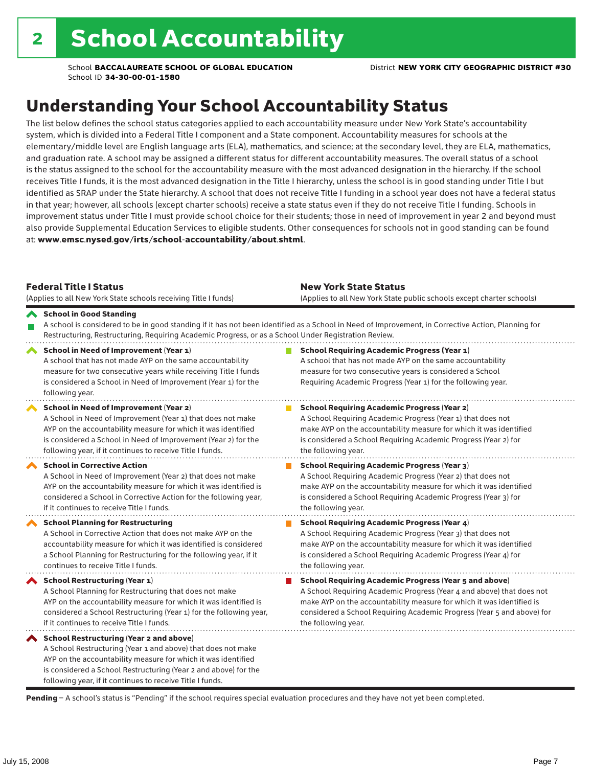## Understanding Your School Accountability Status

The list below defines the school status categories applied to each accountability measure under New York State's accountability system, which is divided into a Federal Title I component and a State component. Accountability measures for schools at the elementary/middle level are English language arts (ELA), mathematics, and science; at the secondary level, they are ELA, mathematics, and graduation rate. A school may be assigned a different status for different accountability measures. The overall status of a school is the status assigned to the school for the accountability measure with the most advanced designation in the hierarchy. If the school receives Title I funds, it is the most advanced designation in the Title I hierarchy, unless the school is in good standing under Title I but identified as SRAP under the State hierarchy. A school that does not receive Title I funding in a school year does not have a federal status in that year; however, all schools (except charter schools) receive a state status even if they do not receive Title I funding. Schools in improvement status under Title I must provide school choice for their students; those in need of improvement in year 2 and beyond must also provide Supplemental Education Services to eligible students. Other consequences for schools not in good standing can be found at: www.emsc.nysed.gov/irts/school-accountability/about.shtml.

| <b>Federal Title I Status</b><br>(Applies to all New York State schools receiving Title I funds)                                                                                                                                                                                                             | <b>New York State Status</b><br>(Applies to all New York State public schools except charter schools)                                                                                                                                                                                                           |
|--------------------------------------------------------------------------------------------------------------------------------------------------------------------------------------------------------------------------------------------------------------------------------------------------------------|-----------------------------------------------------------------------------------------------------------------------------------------------------------------------------------------------------------------------------------------------------------------------------------------------------------------|
| School in Good Standing<br>Restructuring, Restructuring, Requiring Academic Progress, or as a School Under Registration Review.                                                                                                                                                                              | A school is considered to be in good standing if it has not been identified as a School in Need of Improvement, in Corrective Action, Planning for                                                                                                                                                              |
| School in Need of Improvement (Year 1)<br>A school that has not made AYP on the same accountability<br>measure for two consecutive years while receiving Title I funds<br>is considered a School in Need of Improvement (Year 1) for the<br>following year.                                                  | <b>School Requiring Academic Progress (Year 1)</b><br>A school that has not made AYP on the same accountability<br>measure for two consecutive years is considered a School<br>Requiring Academic Progress (Year 1) for the following year.                                                                     |
| <b>School in Need of Improvement (Year 2)</b><br>A School in Need of Improvement (Year 1) that does not make<br>AYP on the accountability measure for which it was identified<br>is considered a School in Need of Improvement (Year 2) for the<br>following year, if it continues to receive Title I funds. | <b>School Requiring Academic Progress (Year 2)</b><br>A School Requiring Academic Progress (Year 1) that does not<br>make AYP on the accountability measure for which it was identified<br>is considered a School Requiring Academic Progress (Year 2) for<br>the following year.                               |
| <b>School in Corrective Action</b><br>A School in Need of Improvement (Year 2) that does not make<br>AYP on the accountability measure for which it was identified is<br>considered a School in Corrective Action for the following year,<br>if it continues to receive Title I funds.                       | <b>School Requiring Academic Progress (Year 3)</b><br>A School Requiring Academic Progress (Year 2) that does not<br>make AYP on the accountability measure for which it was identified<br>is considered a School Requiring Academic Progress (Year 3) for<br>the following year.                               |
| <b>School Planning for Restructuring</b><br>A School in Corrective Action that does not make AYP on the<br>accountability measure for which it was identified is considered<br>a School Planning for Restructuring for the following year, if it<br>continues to receive Title I funds.                      | <b>School Requiring Academic Progress (Year 4)</b><br>A School Requiring Academic Progress (Year 3) that does not<br>make AYP on the accountability measure for which it was identified<br>is considered a School Requiring Academic Progress (Year 4) for<br>the following year.                               |
| <b>School Restructuring (Year 1)</b><br>A School Planning for Restructuring that does not make<br>AYP on the accountability measure for which it was identified is<br>considered a School Restructuring (Year 1) for the following year,<br>if it continues to receive Title I funds.                        | <b>School Requiring Academic Progress (Year 5 and above)</b><br>A School Requiring Academic Progress (Year 4 and above) that does not<br>make AYP on the accountability measure for which it was identified is<br>considered a School Requiring Academic Progress (Year 5 and above) for<br>the following year. |
| School Restructuring (Year 2 and above)<br>A School Restructuring (Year 1 and above) that does not make<br>AYP on the accountability measure for which it was identified<br>is considered a School Restructuring (Year 2 and above) for the<br>following year, if it continues to receive Title I funds.     |                                                                                                                                                                                                                                                                                                                 |

Pending - A school's status is "Pending" if the school requires special evaluation procedures and they have not yet been completed.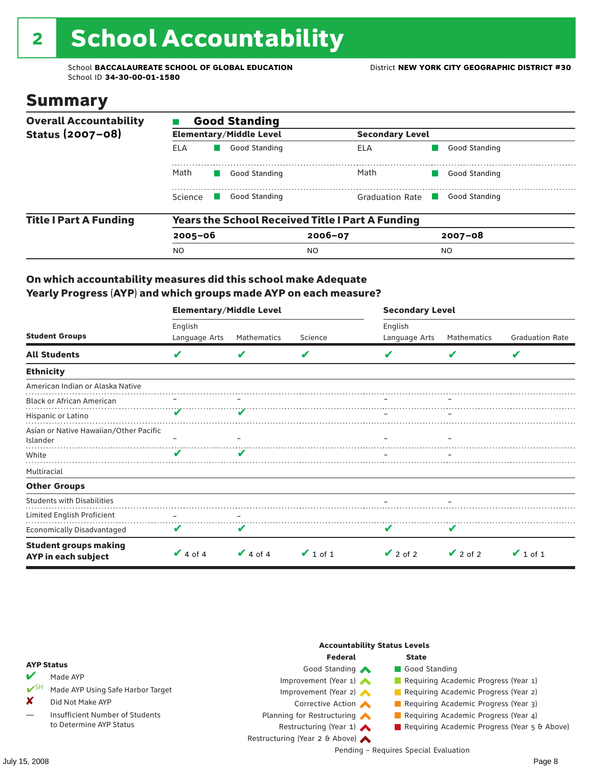# 2 School Accountability

School **BACCALAUREATE SCHOOL OF GLOBAL EDUCATION** District **NEW YORK CITY GEOGRAPHIC DISTRICT #30** School ID **34-30-00-01-1580**

### Summary

| <b>Overall Accountability</b> | <b>Good Standing</b> |                                |                                                         |                |  |  |  |  |
|-------------------------------|----------------------|--------------------------------|---------------------------------------------------------|----------------|--|--|--|--|
| Status (2007-08)              |                      | <b>Elementary/Middle Level</b> | <b>Secondary Level</b>                                  |                |  |  |  |  |
|                               | ELA                  | Good Standing                  | ELA                                                     | Good Standing  |  |  |  |  |
|                               | Math                 | Good Standing                  | Math                                                    | Good Standing  |  |  |  |  |
|                               | Science              | Good Standing                  | Graduation Rate                                         | Good Standing  |  |  |  |  |
| <b>Title I Part A Funding</b> |                      |                                | <b>Years the School Received Title I Part A Funding</b> |                |  |  |  |  |
|                               | $2005 - 06$          |                                | $2006 - 07$                                             | $2007 - 08$    |  |  |  |  |
|                               | <b>NO</b>            |                                | <sub>NO</sub>                                           | N <sub>O</sub> |  |  |  |  |

#### On which accountability measures did this school make Adequate Yearly Progress (AYP) and which groups made AYP on each measure?

|                                                     | <b>Elementary/Middle Level</b> |               |               | <b>Secondary Level</b> |               |                        |  |
|-----------------------------------------------------|--------------------------------|---------------|---------------|------------------------|---------------|------------------------|--|
|                                                     | English                        |               |               | English                |               |                        |  |
| <b>Student Groups</b>                               | Language Arts                  | Mathematics   | Science       | Language Arts          | Mathematics   | <b>Graduation Rate</b> |  |
| <b>All Students</b>                                 | V                              | V             | V             |                        | V             | V                      |  |
| <b>Ethnicity</b>                                    |                                |               |               |                        |               |                        |  |
| American Indian or Alaska Native                    |                                |               |               |                        |               |                        |  |
| <b>Black or African American</b>                    |                                |               |               |                        |               |                        |  |
| Hispanic or Latino                                  |                                |               |               |                        |               |                        |  |
| Asian or Native Hawaiian/Other Pacific              |                                |               |               |                        |               |                        |  |
| Islander                                            |                                |               |               |                        |               |                        |  |
| White                                               | $\overline{\mathbf{v}}$        | V             |               |                        |               |                        |  |
| Multiracial                                         |                                |               |               |                        |               |                        |  |
| <b>Other Groups</b>                                 |                                |               |               |                        |               |                        |  |
| <b>Students with Disabilities</b>                   |                                |               |               |                        |               |                        |  |
| Limited English Proficient                          | $\qquad \qquad -$              |               |               |                        |               |                        |  |
| <b>Economically Disadvantaged</b>                   | V                              | V             |               |                        |               |                        |  |
| <b>Student groups making</b><br>AYP in each subject | $\vee$ 4 of 4                  | $\vee$ 4 of 4 | $\vee$ 1 of 1 | $\vee$ 2 of 2          | $\vee$ 2 of 2 | $\vee$ 1 of 1          |  |

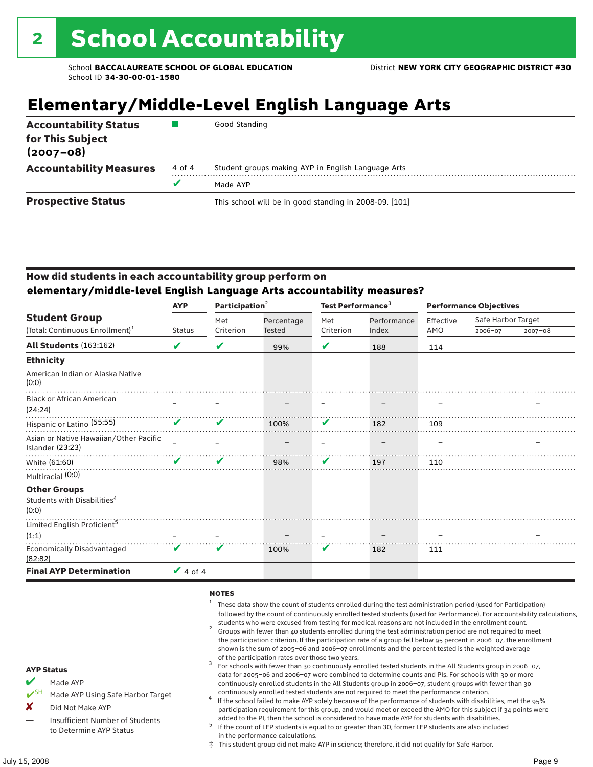## **Elementary/Middle-Level English Language Arts**

| <b>Accountability Status</b><br>for This Subject<br>$(2007 - 08)$ |        | Good Standing                                          |  |  |  |
|-------------------------------------------------------------------|--------|--------------------------------------------------------|--|--|--|
| <b>Accountability Measures</b>                                    | 4 of 4 | Student groups making AYP in English Language Arts     |  |  |  |
|                                                                   |        | Made AYP                                               |  |  |  |
| <b>Prospective Status</b>                                         |        | This school will be in good standing in 2008-09. [101] |  |  |  |

#### How did students in each accountability group perform on **elementary/middle-level English Language Arts accountability measures?**

|                                                            | <b>AYP</b>                 | Participation <sup>2</sup> |               | Test Performance <sup>3</sup> |             | <b>Performance Objectives</b> |                    |             |
|------------------------------------------------------------|----------------------------|----------------------------|---------------|-------------------------------|-------------|-------------------------------|--------------------|-------------|
| <b>Student Group</b>                                       |                            | Met                        | Percentage    | Met                           | Performance | Effective                     | Safe Harbor Target |             |
| (Total: Continuous Enrollment) <sup>1</sup>                | <b>Status</b>              | Criterion                  | <b>Tested</b> | Criterion                     | Index       | AMO                           | 2006-07            | $2007 - 08$ |
| <b>All Students (163:162)</b>                              | V                          | V                          | 99%           | V                             | 188         | 114                           |                    |             |
| <b>Ethnicity</b>                                           |                            |                            |               |                               |             |                               |                    |             |
| American Indian or Alaska Native<br>(0:0)                  |                            |                            |               |                               |             |                               |                    |             |
| <b>Black or African American</b><br>(24:24)                |                            |                            |               |                               |             |                               |                    |             |
| Hispanic or Latino <sup>(55:55)</sup>                      | $\boldsymbol{\mathcal{U}}$ | ✔                          | 100%          | V                             | 182         | 109                           |                    |             |
| Asian or Native Hawaiian/Other Pacific<br>Islander (23:23) |                            |                            |               |                               |             |                               |                    |             |
| White (61:60)                                              | $\boldsymbol{\nu}$         | V                          | 98%           | V                             | 197         | 110                           |                    |             |
| Multiracial (0:0)                                          |                            |                            |               |                               |             |                               |                    |             |
| <b>Other Groups</b>                                        |                            |                            |               |                               |             |                               |                    |             |
| Students with Disabilities <sup>4</sup><br>(0:0)           |                            |                            |               |                               |             |                               |                    |             |
| Limited English Proficient <sup>5</sup>                    |                            |                            |               |                               |             |                               |                    |             |
| (1:1)                                                      |                            |                            |               |                               |             |                               |                    |             |
| <b>Economically Disadvantaged</b><br>(82:82)               | $\mathbf{v}$               | $\mathbf{v}$               | 100%          | V                             | 182         | 111                           |                    |             |
| <b>Final AYP Determination</b>                             | $\sqrt{4}$ of 4            |                            |               |                               |             |                               |                    |             |

#### **NOTES**

- <sup>1</sup> These data show the count of students enrolled during the test administration period (used for Participation) followed by the count of continuously enrolled tested students (used for Performance). For accountability calculations,
- students who were excused from testing for medical reasons are not included in the enrollment count. <sup>2</sup> Groups with fewer than 40 students enrolled during the test administration period are not required to meet the participation criterion. If the participation rate of a group fell below 95 percent in 2006–07, the enrollment shown is the sum of 2005–06 and 2006–07 enrollments and the percent tested is the weighted average
- of the participation rates over those two years.<br><sup>3</sup> For schools with fewer than 30 continuously enrolled tested students in the All Students group in 2006–07, data for 2005–06 and 2006–07 were combined to determine counts and PIs. For schools with 30 or more continuously enrolled students in the All Students group in 2006–07, student groups with fewer than 30
- continuously enrolled tested students are not required to meet the performance criterion. <sup>4</sup> If the school failed to make AYP solely because of the performance of students with disabilities, met the 95% participation requirement for this group, and would meet or exceed the AMO for this subject if 34 points were added to the PI, then the school is considered to have made AYP for students with disabilities.
- $5$  If the count of LEP students is equal to or greater than 30, former LEP students are also included in the performance calculations.
- ‡ This student group did not make AYP in science; therefore, it did not qualify for Safe Harbor.
- $M$  Made AYP
	- Made AYP Using Safe Harbor Target
- X Did Not Make AYP
- Insufficient Number of Students to Determine AYP Status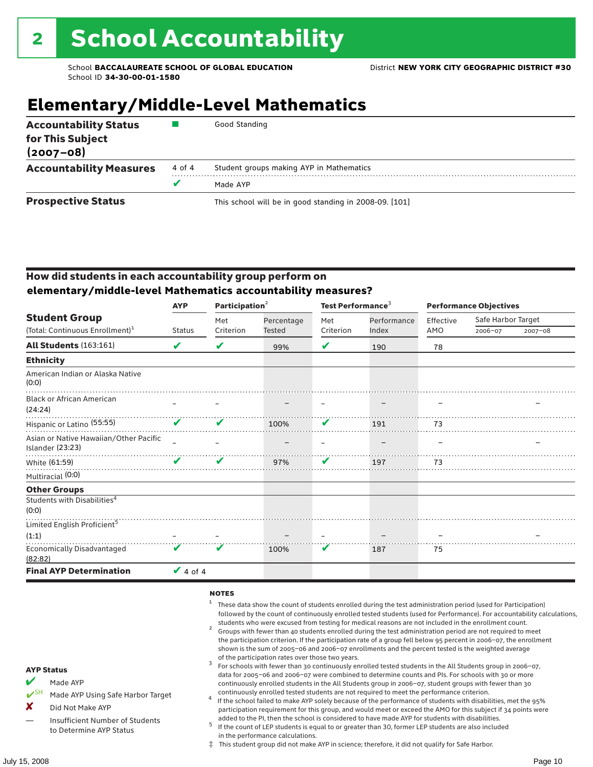## **Elementary/Middle-Level Mathematics**

| <b>Accountability Status</b><br>for This Subject<br>$(2007 - 08)$ |        | Good Standing                                          |
|-------------------------------------------------------------------|--------|--------------------------------------------------------|
| <b>Accountability Measures</b>                                    | 4 of 4 | Student groups making AYP in Mathematics               |
|                                                                   |        | Made AYP                                               |
| <b>Prospective Status</b>                                         |        | This school will be in good standing in 2008-09. [101] |

#### How did students in each accountability group perform on **elementary/middle-level Mathematics accountability measures?**

|                                                            | <b>AYP</b>      | Participation <sup>2</sup> |            | Test Performance <sup>3</sup> |             | <b>Performance Objectives</b> |                    |         |
|------------------------------------------------------------|-----------------|----------------------------|------------|-------------------------------|-------------|-------------------------------|--------------------|---------|
| <b>Student Group</b>                                       |                 | Met                        | Percentage | Met                           | Performance | Effective                     | Safe Harbor Target |         |
| (Total: Continuous Enrollment) <sup>1</sup>                | <b>Status</b>   | Criterion                  | Tested     | Criterion                     | Index       | AMO                           | 2006-07            | 2007-08 |
| <b>All Students (163:161)</b>                              | V               | V                          | 99%        | ✔                             | 190         | 78                            |                    |         |
| <b>Ethnicity</b>                                           |                 |                            |            |                               |             |                               |                    |         |
| American Indian or Alaska Native<br>(0:0)                  |                 |                            |            |                               |             |                               |                    |         |
| <b>Black or African American</b><br>(24:24)                |                 |                            |            |                               |             |                               |                    |         |
| Hispanic or Latino <sup>(55:55)</sup>                      | $\mathbf v$     |                            | 100%       | V                             | 191         | 73                            |                    |         |
| Asian or Native Hawaiian/Other Pacific<br>Islander (23:23) |                 |                            |            |                               |             |                               |                    |         |
| White (61:59)                                              | ✔               | V                          | 97%        | V                             | 197         | 73                            |                    |         |
| Multiracial (0:0)                                          |                 |                            |            |                               |             |                               |                    |         |
| <b>Other Groups</b>                                        |                 |                            |            |                               |             |                               |                    |         |
| Students with Disabilities <sup>4</sup><br>(0:0)           |                 |                            |            |                               |             |                               |                    |         |
| Limited English Proficient <sup>5</sup>                    |                 |                            |            |                               |             |                               |                    |         |
| (1:1)                                                      |                 |                            |            |                               |             |                               |                    |         |
| <b>Economically Disadvantaged</b><br>(82:82)               | V               | V                          | 100%       | V                             | 187         | 75                            |                    |         |
| <b>Final AYP Determination</b>                             | $\sqrt{4}$ of 4 |                            |            |                               |             |                               |                    |         |

#### **NOTES**

- <sup>1</sup> These data show the count of students enrolled during the test administration period (used for Participation) followed by the count of continuously enrolled tested students (used for Performance). For accountability calculations,
- students who were excused from testing for medical reasons are not included in the enrollment count. <sup>2</sup> Groups with fewer than 40 students enrolled during the test administration period are not required to meet the participation criterion. If the participation rate of a group fell below 95 percent in 2006–07, the enrollment shown is the sum of 2005–06 and 2006–07 enrollments and the percent tested is the weighted average
- of the participation rates over those two years.<br><sup>3</sup> For schools with fewer than 30 continuously enrolled tested students in the All Students group in 2006–07, data for 2005–06 and 2006–07 were combined to determine counts and PIs. For schools with 30 or more continuously enrolled students in the All Students group in 2006–07, student groups with fewer than 30
- continuously enrolled tested students are not required to meet the performance criterion. <sup>4</sup> If the school failed to make AYP solely because of the performance of students with disabilities, met the 95% participation requirement for this group, and would meet or exceed the AMO for this subject if 34 points were added to the PI, then the school is considered to have made AYP for students with disabilities.
- $5$  If the count of LEP students is equal to or greater than 30, former LEP students are also included in the performance calculations.
- ‡ This student group did not make AYP in science; therefore, it did not qualify for Safe Harbor.
- $M$  Made AYP
	- Made AYP Using Safe Harbor Target
- X Did Not Make AYP
- Insufficient Number of Students to Determine AYP Status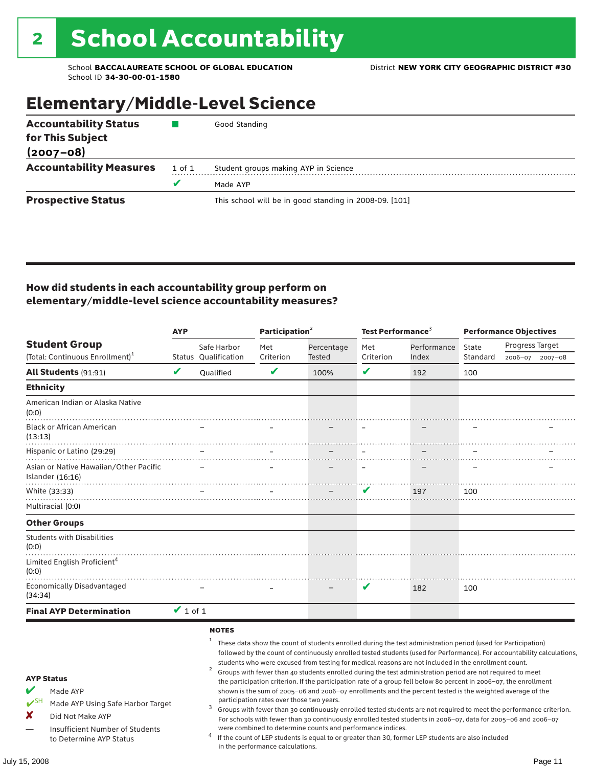### Elementary/Middle-Level Science

| <b>Accountability Status</b>   |        | Good Standing                                          |  |  |  |  |
|--------------------------------|--------|--------------------------------------------------------|--|--|--|--|
| for This Subject               |        |                                                        |  |  |  |  |
| $(2007 - 08)$                  |        |                                                        |  |  |  |  |
| <b>Accountability Measures</b> | 1 of 1 | Student groups making AYP in Science                   |  |  |  |  |
|                                |        | Made AYP                                               |  |  |  |  |
| <b>Prospective Status</b>      |        | This school will be in good standing in 2008-09. [101] |  |  |  |  |

#### How did students in each accountability group perform on elementary/middle-level science accountability measures?

|                                                                                                                                                                                   | <b>AYP</b>    |                             | Participation <sup>2</sup>                                                    |                                                            | Test Performance <sup>3</sup> |                                                                                                                                                                                                                                                                                                                                                                                                                                                                                                                                                                                                                                                                                                                                                                                                                                                                                                                                                                                                                                                 | <b>Performance Objectives</b> |                 |             |
|-----------------------------------------------------------------------------------------------------------------------------------------------------------------------------------|---------------|-----------------------------|-------------------------------------------------------------------------------|------------------------------------------------------------|-------------------------------|-------------------------------------------------------------------------------------------------------------------------------------------------------------------------------------------------------------------------------------------------------------------------------------------------------------------------------------------------------------------------------------------------------------------------------------------------------------------------------------------------------------------------------------------------------------------------------------------------------------------------------------------------------------------------------------------------------------------------------------------------------------------------------------------------------------------------------------------------------------------------------------------------------------------------------------------------------------------------------------------------------------------------------------------------|-------------------------------|-----------------|-------------|
| <b>Student Group</b>                                                                                                                                                              |               | Safe Harbor                 | Met                                                                           | Percentage                                                 | Met                           | Performance                                                                                                                                                                                                                                                                                                                                                                                                                                                                                                                                                                                                                                                                                                                                                                                                                                                                                                                                                                                                                                     | State                         | Progress Target |             |
| (Total: Continuous Enrollment) <sup>1</sup>                                                                                                                                       |               | <b>Status Oualification</b> | Criterion                                                                     | <b>Tested</b>                                              | Criterion                     | Index                                                                                                                                                                                                                                                                                                                                                                                                                                                                                                                                                                                                                                                                                                                                                                                                                                                                                                                                                                                                                                           | Standard                      | 2006-07         | $2007 - 08$ |
| All Students (91:91)                                                                                                                                                              | V             | Qualified                   | V                                                                             | 100%                                                       | V                             | 192                                                                                                                                                                                                                                                                                                                                                                                                                                                                                                                                                                                                                                                                                                                                                                                                                                                                                                                                                                                                                                             | 100                           |                 |             |
| <b>Ethnicity</b>                                                                                                                                                                  |               |                             |                                                                               |                                                            |                               |                                                                                                                                                                                                                                                                                                                                                                                                                                                                                                                                                                                                                                                                                                                                                                                                                                                                                                                                                                                                                                                 |                               |                 |             |
| American Indian or Alaska Native<br>(0:0)                                                                                                                                         |               |                             |                                                                               |                                                            |                               |                                                                                                                                                                                                                                                                                                                                                                                                                                                                                                                                                                                                                                                                                                                                                                                                                                                                                                                                                                                                                                                 |                               |                 |             |
| <b>Black or African American</b><br>(13:13)                                                                                                                                       |               |                             |                                                                               |                                                            |                               |                                                                                                                                                                                                                                                                                                                                                                                                                                                                                                                                                                                                                                                                                                                                                                                                                                                                                                                                                                                                                                                 |                               |                 |             |
| Hispanic or Latino (29:29)                                                                                                                                                        |               |                             |                                                                               |                                                            |                               |                                                                                                                                                                                                                                                                                                                                                                                                                                                                                                                                                                                                                                                                                                                                                                                                                                                                                                                                                                                                                                                 |                               |                 |             |
| Asian or Native Hawaiian/Other Pacific<br>Islander (16:16)                                                                                                                        |               |                             |                                                                               |                                                            |                               |                                                                                                                                                                                                                                                                                                                                                                                                                                                                                                                                                                                                                                                                                                                                                                                                                                                                                                                                                                                                                                                 |                               |                 |             |
| White (33:33)                                                                                                                                                                     |               |                             |                                                                               |                                                            | v                             | 197                                                                                                                                                                                                                                                                                                                                                                                                                                                                                                                                                                                                                                                                                                                                                                                                                                                                                                                                                                                                                                             | 100                           |                 |             |
| Multiracial (0:0)                                                                                                                                                                 |               |                             |                                                                               |                                                            |                               |                                                                                                                                                                                                                                                                                                                                                                                                                                                                                                                                                                                                                                                                                                                                                                                                                                                                                                                                                                                                                                                 |                               |                 |             |
| <b>Other Groups</b>                                                                                                                                                               |               |                             |                                                                               |                                                            |                               |                                                                                                                                                                                                                                                                                                                                                                                                                                                                                                                                                                                                                                                                                                                                                                                                                                                                                                                                                                                                                                                 |                               |                 |             |
| <b>Students with Disabilities</b><br>(0:0)                                                                                                                                        |               |                             |                                                                               |                                                            |                               |                                                                                                                                                                                                                                                                                                                                                                                                                                                                                                                                                                                                                                                                                                                                                                                                                                                                                                                                                                                                                                                 |                               |                 |             |
| Limited English Proficient <sup>4</sup><br>(0:0)                                                                                                                                  |               |                             |                                                                               |                                                            |                               |                                                                                                                                                                                                                                                                                                                                                                                                                                                                                                                                                                                                                                                                                                                                                                                                                                                                                                                                                                                                                                                 |                               |                 |             |
| <b>Economically Disadvantaged</b><br>(34:34)                                                                                                                                      |               |                             |                                                                               |                                                            | V                             | 182                                                                                                                                                                                                                                                                                                                                                                                                                                                                                                                                                                                                                                                                                                                                                                                                                                                                                                                                                                                                                                             | 100                           |                 |             |
| <b>Final AYP Determination</b>                                                                                                                                                    | $\vee$ 1 of 1 |                             |                                                                               |                                                            |                               |                                                                                                                                                                                                                                                                                                                                                                                                                                                                                                                                                                                                                                                                                                                                                                                                                                                                                                                                                                                                                                                 |                               |                 |             |
| <b>AYP Status</b><br>V<br>Made AYP<br>$V^{\text{SH}}$<br>Made AYP Using Safe Harbor Target<br>x<br>Did Not Make AYP<br>Insufficient Number of Students<br>to Determine AYP Status |               | <b>NOTES</b><br>2           | participation rates over those two years.<br>in the performance calculations. | were combined to determine counts and performance indices. |                               | These data show the count of students enrolled during the test administration period (used for Participation)<br>followed by the count of continuously enrolled tested students (used for Performance). For accountability calculations,<br>students who were excused from testing for medical reasons are not included in the enrollment count.<br>Groups with fewer than 40 students enrolled during the test administration period are not required to meet<br>the participation criterion. If the participation rate of a group fell below 80 percent in 2006-07, the enrollment<br>shown is the sum of 2005-06 and 2006-07 enrollments and the percent tested is the weighted average of the<br>Groups with fewer than 30 continuously enrolled tested students are not required to meet the performance criterion.<br>For schools with fewer than 30 continuously enrolled tested students in 2006-07, data for 2005-06 and 2006-07<br>If the count of LEP students is equal to or greater than 30, former LEP students are also included |                               |                 |             |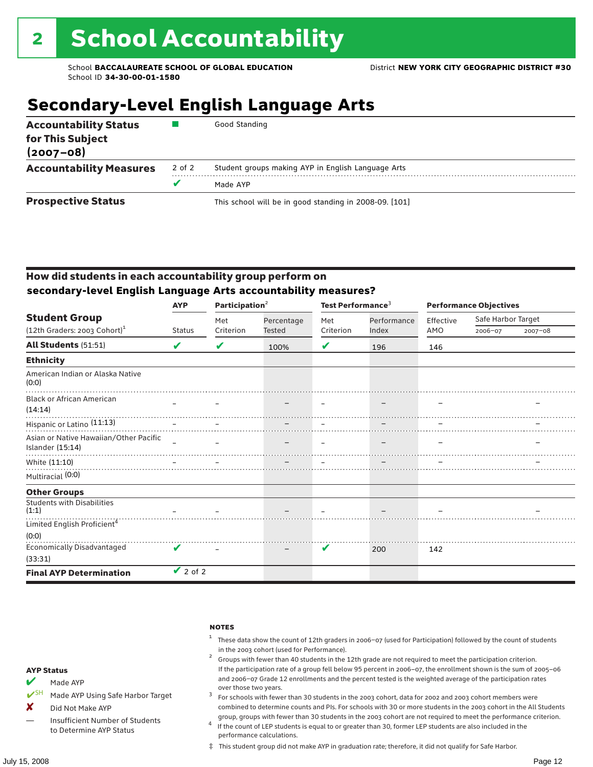### **Secondary-Level English Language Arts**

| <b>Accountability Status</b><br>for This Subject<br>$(2007 - 08)$ |        | Good Standing                                          |
|-------------------------------------------------------------------|--------|--------------------------------------------------------|
| <b>Accountability Measures</b>                                    | 2 of 2 | Student groups making AYP in English Language Arts     |
|                                                                   |        | Made AYP                                               |
| <b>Prospective Status</b>                                         |        | This school will be in good standing in 2008-09. [101] |

#### How did students in each accountability group perform on **secondary-level English Language Arts accountability measures?**

|                                                            | <b>AYP</b>    | Participation <sup>2</sup> |            | Test Performance <sup>3</sup> |                      | <b>Performance Objectives</b> |                    |             |
|------------------------------------------------------------|---------------|----------------------------|------------|-------------------------------|----------------------|-------------------------------|--------------------|-------------|
| <b>Student Group</b>                                       |               | Met                        | Percentage | Met<br>Criterion              | Performance<br>Index | Effective<br>AMO              | Safe Harbor Target |             |
| $(12th$ Graders: 2003 Cohort) <sup>1</sup>                 | <b>Status</b> | Criterion                  | Tested     |                               |                      |                               | 2006-07            | $2007 - 08$ |
| <b>All Students (51:51)</b>                                | V             | V                          | 100%       | V                             | 196                  | 146                           |                    |             |
| <b>Ethnicity</b>                                           |               |                            |            |                               |                      |                               |                    |             |
| American Indian or Alaska Native<br>(0:0)                  |               |                            |            |                               |                      |                               |                    |             |
| <b>Black or African American</b><br>(14:14)                |               |                            |            |                               |                      |                               |                    |             |
| Hispanic or Latino (11:13)                                 |               |                            |            |                               |                      |                               |                    |             |
| Asian or Native Hawaiian/Other Pacific<br>Islander (15:14) | $\sim$        |                            |            |                               |                      |                               |                    |             |
| White (11:10)                                              |               |                            |            |                               |                      |                               |                    |             |
| Multiracial (0:0)                                          |               |                            |            |                               |                      |                               |                    |             |
| <b>Other Groups</b>                                        |               |                            |            |                               |                      |                               |                    |             |
| <b>Students with Disabilities</b><br>(1:1)                 |               |                            |            |                               |                      |                               |                    |             |
| Limited English Proficient <sup>4</sup>                    |               |                            |            |                               |                      |                               |                    |             |
| (0:0)                                                      |               |                            |            |                               |                      |                               |                    |             |
| Economically Disadvantaged<br>(33:31)                      | ✔             |                            |            | V                             | 200                  | 142                           |                    |             |
| <b>Final AYP Determination</b>                             | $\vee$ 2 of 2 |                            |            |                               |                      |                               |                    |             |

#### notes

- <sup>1</sup> These data show the count of 12th graders in 2006–07 (used for Participation) followed by the count of students
- in the 2003 cohort (used for Performance).<br><sup>2</sup> Groups with fewer than 40 students in the 12th grade are not required to meet the participation criterion. If the participation rate of a group fell below 95 percent in 2006–07, the enrollment shown is the sum of 2005–06 and 2006–07 Grade 12 enrollments and the percent tested is the weighted average of the participation rates
- over those two years.  $^3$  For schools with fewer than 30 students in the 2003 cohort, data for 2002 and 2003 cohort members were combined to determine counts and PIs. For schools with 30 or more students in the 2003 cohort in the All Students
- group, groups with fewer than 30 students in the 2003 cohort are not required to meet the performance criterion. <sup>4</sup> If the count of LEP students is equal to or greater than 30, former LEP students are also included in the performance calculations.
- ‡ This student group did not make AYP in graduation rate; therefore, it did not qualify for Safe Harbor.
- $M$  Made AYP
- ◆ SH Made AYP Using Safe Harbor Target
- X Did Not Make AYP
- Insufficient Number of Students to Determine AYP Status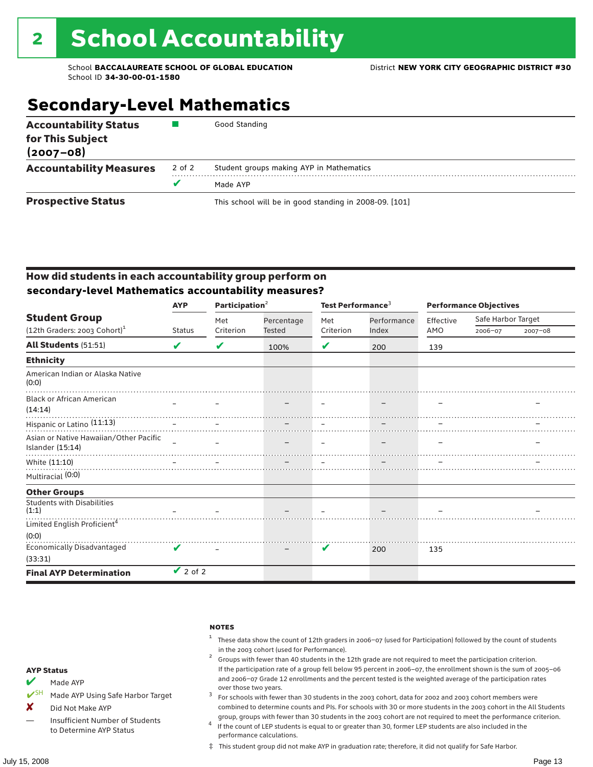### **Secondary-Level Mathematics**

| <b>Accountability Status</b><br>for This Subject<br>$(2007 - 08)$ |        | Good Standing                                          |
|-------------------------------------------------------------------|--------|--------------------------------------------------------|
| <b>Accountability Measures</b>                                    | 2 of 2 | Student groups making AYP in Mathematics               |
|                                                                   |        | Made AYP                                               |
| <b>Prospective Status</b>                                         |        | This school will be in good standing in 2008-09. [101] |

#### How did students in each accountability group perform on **secondary-level Mathematics accountability measures?**

|                                                            | <b>AYP</b>    | Participation <sup>2</sup> |            | Test Performance <sup>3</sup> |             | <b>Performance Objectives</b> |                    |             |
|------------------------------------------------------------|---------------|----------------------------|------------|-------------------------------|-------------|-------------------------------|--------------------|-------------|
| <b>Student Group</b>                                       |               | Met                        | Percentage | Met                           | Performance | Effective                     | Safe Harbor Target |             |
| $(12th$ Graders: 2003 Cohort) <sup>1</sup>                 | <b>Status</b> | Criterion                  | Tested     | Criterion                     | Index       | AMO                           | 2006-07            | $2007 - 08$ |
| <b>All Students (51:51)</b>                                | V             | V                          | 100%       | V                             | 200         | 139                           |                    |             |
| <b>Ethnicity</b>                                           |               |                            |            |                               |             |                               |                    |             |
| American Indian or Alaska Native<br>(0:0)                  |               |                            |            |                               |             |                               |                    |             |
| <b>Black or African American</b><br>(14:14)                |               |                            |            |                               |             |                               |                    |             |
| Hispanic or Latino (11:13)                                 |               |                            |            |                               |             |                               |                    |             |
| Asian or Native Hawaiian/Other Pacific<br>Islander (15:14) | $\equiv$      |                            |            |                               |             |                               |                    |             |
| White (11:10)                                              |               |                            |            |                               |             |                               |                    |             |
| Multiracial (0:0)                                          |               |                            |            |                               |             |                               |                    |             |
| <b>Other Groups</b>                                        |               |                            |            |                               |             |                               |                    |             |
| <b>Students with Disabilities</b><br>(1:1)                 |               |                            |            |                               |             |                               |                    |             |
| Limited English Proficient <sup>4</sup>                    |               |                            |            |                               |             |                               |                    |             |
| (0:0)                                                      |               |                            |            |                               |             |                               |                    |             |
| <b>Economically Disadvantaged</b><br>(33:31)               | V             |                            |            | V                             | 200         | 135                           |                    |             |
| <b>Final AYP Determination</b>                             | $\vee$ 2 of 2 |                            |            |                               |             |                               |                    |             |

#### notes

- <sup>1</sup> These data show the count of 12th graders in 2006–07 (used for Participation) followed by the count of students
- in the 2003 cohort (used for Performance).<br><sup>2</sup> Groups with fewer than 40 students in the 12th grade are not required to meet the participation criterion. If the participation rate of a group fell below 95 percent in 2006–07, the enrollment shown is the sum of 2005–06 and 2006–07 Grade 12 enrollments and the percent tested is the weighted average of the participation rates
- over those two years.  $^3$  For schools with fewer than 30 students in the 2003 cohort, data for 2002 and 2003 cohort members were combined to determine counts and PIs. For schools with 30 or more students in the 2003 cohort in the All Students
- group, groups with fewer than 30 students in the 2003 cohort are not required to meet the performance criterion. <sup>4</sup> If the count of LEP students is equal to or greater than 30, former LEP students are also included in the performance calculations.
- ‡ This student group did not make AYP in graduation rate; therefore, it did not qualify for Safe Harbor.
- $M$  Made AYP
- ◆ SH Made AYP Using Safe Harbor Target
- X Did Not Make AYP
- Insufficient Number of Students to Determine AYP Status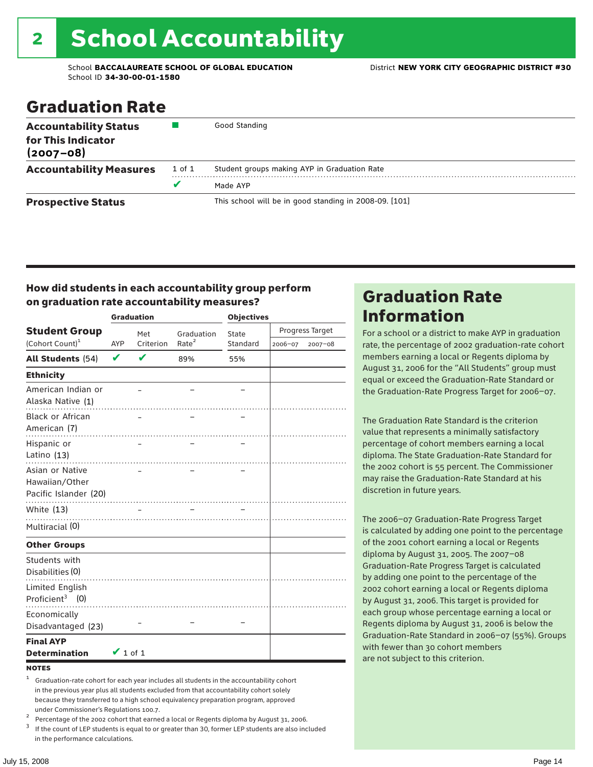# 2 School Accountability

School **BACCALAUREATE SCHOOL OF GLOBAL EDUCATION** District **NEW YORK CITY GEOGRAPHIC DISTRICT #30** School ID **34-30-00-01-1580**

### Graduation Rate

| <b>Accountability Status</b><br>for This Indicator<br>$(2007 - 08)$ |        | Good Standing                                          |
|---------------------------------------------------------------------|--------|--------------------------------------------------------|
| <b>Accountability Measures</b>                                      | 1 of 1 | Student groups making AYP in Graduation Rate           |
|                                                                     | v      | Made AYP                                               |
| <b>Prospective Status</b>                                           |        | This school will be in good standing in 2008-09. [101] |

#### How did students in each accountability group perform on graduation rate accountability measures?

|                                                            |               | <b>Graduation</b> |                   | <b>Objectives</b> |                 |         |  |
|------------------------------------------------------------|---------------|-------------------|-------------------|-------------------|-----------------|---------|--|
| <b>Student Group</b>                                       |               | Met               | Graduation        | State             | Progress Target |         |  |
| (Cohort Count) <sup>1</sup>                                | <b>AYP</b>    | Criterion         | Rate <sup>2</sup> | Standard          | 2006-07         | 2007-08 |  |
| All Students (54)                                          | $\mathbf v$   | V                 | 89%               | 55%               |                 |         |  |
| <b>Ethnicity</b>                                           |               |                   |                   |                   |                 |         |  |
| American Indian or<br>Alaska Native (1)                    |               |                   |                   |                   |                 |         |  |
| <b>Black or African</b><br>American (7)                    |               |                   |                   |                   |                 |         |  |
| Hispanic or<br>Latino (13)                                 |               |                   |                   |                   |                 |         |  |
| Asian or Native<br>Hawaiian/Other<br>Pacific Islander (20) |               |                   | .                 |                   |                 |         |  |
| White $(13)$                                               |               |                   |                   |                   |                 |         |  |
| Multiracial (0)                                            |               |                   |                   |                   |                 |         |  |
| <b>Other Groups</b>                                        |               |                   |                   |                   |                 |         |  |
| Students with<br>Disabilities (0)                          |               |                   |                   |                   |                 |         |  |
| Limited English<br>Proficient <sup>3</sup> $(0)$           |               |                   |                   |                   |                 |         |  |
| Economically<br>Disadvantaged (23)                         |               |                   |                   |                   |                 |         |  |
| <b>Final AYP</b><br><b>Determination</b>                   | $\vee$ 1 of 1 |                   |                   |                   |                 |         |  |

#### **NOTES**

<sup>1</sup> Graduation-rate cohort for each year includes all students in the accountability cohort in the previous year plus all students excluded from that accountability cohort solely because they transferred to a high school equivalency preparation program, approved

under Commissioner's Regulations 100.7.<br>
Percentage of the 2002 cohort that earned a local or Regents diploma by August 31, 2006.<br>
If the count of LEP students is equal to or greater than 30, former LEP students are also in the performance calculations.

### Graduation Rate Information

For a school or a district to make AYP in graduation rate, the percentage of 2002 graduation-rate cohort members earning a local or Regents diploma by August 31, 2006 for the "All Students" group must equal or exceed the Graduation-Rate Standard or the Graduation-Rate Progress Target for 2006–07.

The Graduation Rate Standard is the criterion value that represents a minimally satisfactory percentage of cohort members earning a local diploma. The State Graduation-Rate Standard for the 2002 cohort is 55 percent. The Commissioner may raise the Graduation-Rate Standard at his discretion in future years.

The 2006–07 Graduation-Rate Progress Target is calculated by adding one point to the percentage of the 2001 cohort earning a local or Regents diploma by August 31, 2005. The 2007–08 Graduation-Rate Progress Target is calculated by adding one point to the percentage of the 2002 cohort earning a local or Regents diploma by August 31, 2006. This target is provided for each group whose percentage earning a local or Regents diploma by August 31, 2006 is below the Graduation-Rate Standard in 2006–07 (55%). Groups with fewer than 30 cohort members are not subject to this criterion.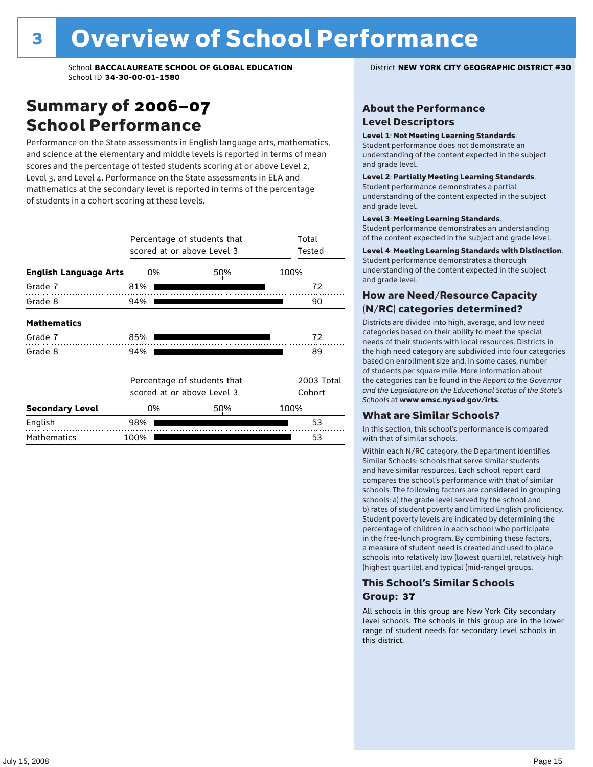### Summary of 2006–07 School Performance

Performance on the State assessments in English language arts, mathematics, and science at the elementary and middle levels is reported in terms of mean scores and the percentage of tested students scoring at or above Level 2, Level 3, and Level 4. Performance on the State assessments in ELA and mathematics at the secondary level is reported in terms of the percentage of students in a cohort scoring at these levels.

|                              |      | Percentage of students that<br>scored at or above Level 3 |      |    |  |  |
|------------------------------|------|-----------------------------------------------------------|------|----|--|--|
| <b>English Language Arts</b> | 0%   | 50%                                                       | 100% |    |  |  |
| Grade 7                      | 81%  |                                                           |      | 72 |  |  |
| Grade 8                      | 94%  |                                                           |      | 90 |  |  |
| <b>Mathematics</b>           |      |                                                           |      |    |  |  |
| Grade 7                      | 85%  |                                                           |      | 72 |  |  |
| Grade 8                      | 94%  |                                                           |      | 89 |  |  |
|                              |      | Percentage of students that<br>scored at or above Level 3 |      |    |  |  |
| <b>Secondary Level</b>       | 0%   | 50%                                                       | 100% |    |  |  |
| English                      | 98%  |                                                           |      | 53 |  |  |
| <b>Mathematics</b>           | 100% |                                                           |      | 53 |  |  |

#### About the Performance Level Descriptors

#### Level 1: Not Meeting Learning Standards.

Student performance does not demonstrate an understanding of the content expected in the subject and grade level.

#### Level 2: Partially Meeting Learning Standards.

Student performance demonstrates a partial understanding of the content expected in the subject and grade level.

#### Level 3: Meeting Learning Standards.

Student performance demonstrates an understanding of the content expected in the subject and grade level.

#### Level 4: Meeting Learning Standards with Distinction.

Student performance demonstrates a thorough understanding of the content expected in the subject and grade level.

#### How are Need/Resource Capacity (N/RC) categories determined?

Districts are divided into high, average, and low need categories based on their ability to meet the special needs of their students with local resources. Districts in the high need category are subdivided into four categories based on enrollment size and, in some cases, number of students per square mile. More information about the categories can be found in the *Report to the Governor and the Legislature on the Educational Status of the State's Schools* at www.emsc.nysed.gov/irts.

#### What are Similar Schools?

In this section, this school's performance is compared with that of similar schools.

Within each N/RC category, the Department identifies Similar Schools: schools that serve similar students and have similar resources. Each school report card compares the school's performance with that of similar schools. The following factors are considered in grouping schools: a) the grade level served by the school and b) rates of student poverty and limited English proficiency. Student poverty levels are indicated by determining the percentage of children in each school who participate in the free-lunch program. By combining these factors, a measure of student need is created and used to place schools into relatively low (lowest quartile), relatively high (highest quartile), and typical (mid-range) groups.

#### This School's Similar Schools Group: **37**

All schools in this group are New York City secondary level schools. The schools in this group are in the lower range of student needs for secondary level schools in this district.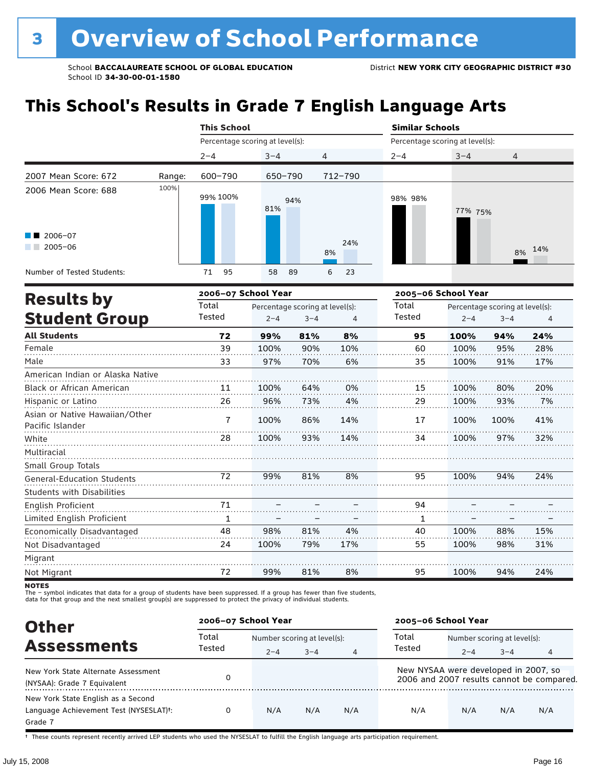## **This School's Results in Grade 7 English Language Arts**

|                                                                   |        | <b>This School</b>              |            |                | <b>Similar Schools</b>          |         |                |  |
|-------------------------------------------------------------------|--------|---------------------------------|------------|----------------|---------------------------------|---------|----------------|--|
|                                                                   |        | Percentage scoring at level(s): |            |                | Percentage scoring at level(s): |         |                |  |
|                                                                   |        | $2 - 4$                         | $3 - 4$    | $\overline{4}$ | $2 - 4$                         | $3 - 4$ | $\overline{4}$ |  |
| 2007 Mean Score: 672                                              | Range: | 600-790                         | 650-790    | 712-790        |                                 |         |                |  |
| 2006 Mean Score: 688<br>$\blacksquare$ 2006-07<br>2005-06<br>a ka | 100%   | 99% 100%                        | 94%<br>81% | 24%<br>8%      | 98% 98%                         | 77% 75% | 8% 14%         |  |
| Number of Tested Students:                                        |        | 95<br>71                        | 58<br>- 89 | 6<br>23        |                                 |         |                |  |
|                                                                   |        | song as Cabaal Vaax             |            |                | <b>DOOF OF CALABLYANK</b>       |         |                |  |

|                                                    |        | 2006-07 School Year |                                 | 2005-06 School Year |        |         |                                 |     |
|----------------------------------------------------|--------|---------------------|---------------------------------|---------------------|--------|---------|---------------------------------|-----|
| <b>Results by</b>                                  | Total  |                     | Percentage scoring at level(s): |                     | Total  |         | Percentage scoring at level(s): |     |
| <b>Student Group</b>                               | Tested | $2 - 4$             | $3 - 4$                         | 4                   | Tested | $2 - 4$ | $3 - 4$                         | 4   |
| <b>All Students</b>                                | 72     | 99%                 | 81%                             | 8%                  | 95     | 100%    | 94%                             | 24% |
| Female                                             | 39     | 100%                | 90%                             | 10%                 | 60     | 100%    | 95%                             | 28% |
| Male                                               | 33     | 97%                 | 70%                             | 6%                  | 35     | 100%    | 91%                             | 17% |
| American Indian or Alaska Native                   |        |                     |                                 |                     |        |         |                                 |     |
| <b>Black or African American</b>                   | 11     | 100%                | 64%                             | 0%                  | 15     | 100%    | 80%                             | 20% |
| Hispanic or Latino                                 | 26     | 96%                 | 73%                             | 4%                  | 29     | 100%    | 93%                             | 7%  |
| Asian or Native Hawaiian/Other<br>Pacific Islander | 7      | 100%                | 86%                             | 14%                 | 17     | 100%    | 100%                            | 41% |
| White                                              | 28     | 100%                | 93%                             | 14%                 | 34     | 100%    | 97%                             | 32% |
| Multiracial                                        |        |                     |                                 |                     |        |         |                                 |     |
| Small Group Totals                                 |        |                     |                                 |                     |        |         |                                 |     |
| <b>General-Education Students</b>                  | 72     | 99%                 | 81%                             | 8%                  | 95     | 100%    | 94%                             | 24% |
| <b>Students with Disabilities</b>                  |        |                     |                                 |                     |        |         |                                 |     |
| English Proficient                                 | 71     |                     |                                 |                     | 94     |         |                                 |     |
| Limited English Proficient                         | 1      |                     |                                 |                     | 1      |         |                                 |     |
| Economically Disadvantaged                         | 48     | 98%                 | 81%                             | 4%                  | 40     | 100%    | 88%                             | 15% |
| Not Disadvantaged                                  | 24     | 100%                | 79%                             | 17%                 | 55     | 100%    | 98%                             | 31% |
| Migrant                                            |        |                     |                                 |                     |        |         |                                 |     |
| Not Migrant                                        | 72     | 99%                 | 81%                             | 8%                  | 95     | 100%    | 94%                             | 24% |
|                                                    |        |                     |                                 |                     |        |         |                                 |     |

NOTES<br>The – symbol indicates that data for a group of students have been suppressed. If a group has fewer than five students,<br>data for that group and the next smallest group(s) are suppressed to protect the privacy of indi

| <b>Other</b>                                                                                         | 2006-07 School Year |                             |         |                | 2005-06 School Year                  |                             |         |                                           |
|------------------------------------------------------------------------------------------------------|---------------------|-----------------------------|---------|----------------|--------------------------------------|-----------------------------|---------|-------------------------------------------|
|                                                                                                      | Total               | Number scoring at level(s): |         |                | Total                                | Number scoring at level(s): |         |                                           |
| <b>Assessments</b>                                                                                   | Tested              | $2 - 4$                     | $3 - 4$ | $\overline{4}$ | Tested                               | $2 - 4$                     | $3 - 4$ | 4                                         |
| New York State Alternate Assessment<br>(NYSAA): Grade 7 Equivalent                                   |                     |                             |         |                | New NYSAA were developed in 2007, so |                             |         | 2006 and 2007 results cannot be compared. |
| New York State English as a Second<br>Language Achievement Test (NYSESLAT) <sup>+</sup> :<br>Grade 7 | 0                   | N/A                         | N/A     | N/A            | N/A                                  | N/A                         | N/A     | N/A                                       |

† These counts represent recently arrived LEP students who used the NYSESLAT to fulfill the English language arts participation requirement.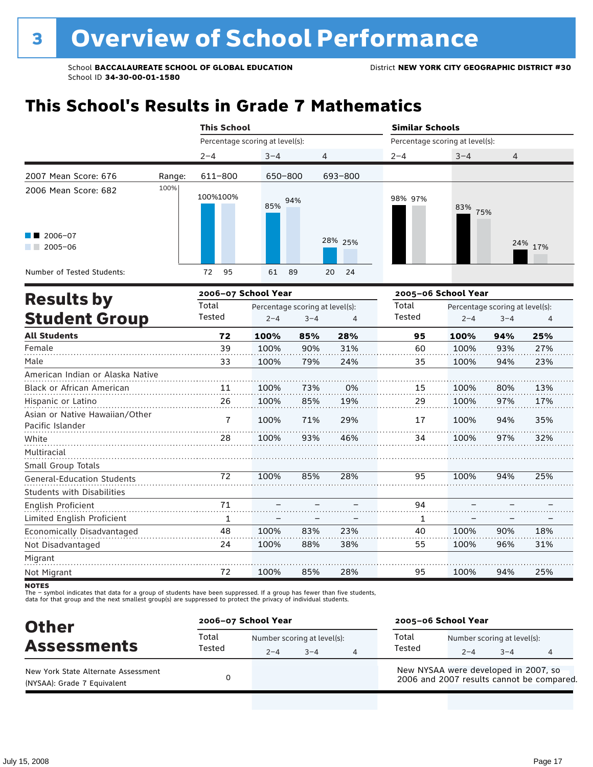## **This School's Results in Grade 7 Mathematics**

|                                                           |        | <b>This School</b>              |            |            | <b>Similar Schools</b> |                                 |         |
|-----------------------------------------------------------|--------|---------------------------------|------------|------------|------------------------|---------------------------------|---------|
|                                                           |        | Percentage scoring at level(s): |            |            |                        | Percentage scoring at level(s): |         |
|                                                           |        | $2 - 4$                         | $3 - 4$    | 4          | $2 - 4$                | $3 - 4$                         | 4       |
| 2007 Mean Score: 676                                      | Range: | 611-800                         | 650-800    | 693-800    |                        |                                 |         |
| 2006 Mean Score: 682<br>$\blacksquare$ 2006-07<br>2005-06 | 100%   | 100%100%                        | 94%<br>85% | 28% 25%    | 98% 97%                | 83%<br>75%                      | 24% 17% |
| Number of Tested Students:                                |        | 95<br>72                        | 61<br>89   | 20<br>- 24 |                        |                                 |         |
| Deedle ku                                                 |        | 2006-07 School Year             |            |            | 2005-06 School Year    |                                 |         |

|                                 | 2005–06 School Year |     |         | 2006–07 School Year             | <b>Results by</b> |                                                    |
|---------------------------------|---------------------|-----|---------|---------------------------------|-------------------|----------------------------------------------------|
| Percentage scoring at level(s): | Total               |     |         | Percentage scoring at level(s): | Total             |                                                    |
| $3 - 4$<br>$\overline{4}$       | Tested<br>$2 - 4$   | 4   | $3 - 4$ | $2 - 4$                         | Tested            | <b>Student Group</b>                               |
| 25%<br>94%                      | 95<br>100%          | 28% | 85%     | 100%                            | 72                | <b>All Students</b>                                |
| 93%<br>27%                      | 60<br>100%          | 31% | 90%     | 100%                            | 39                | Female                                             |
| 23%<br>94%                      | 100%<br>35          | 24% | 79%     | 100%                            | 33                | Male                                               |
|                                 |                     |     |         |                                 |                   | American Indian or Alaska Native                   |
| 80%<br>13%                      | 15<br>100%          | 0%  | 73%     | 100%                            | 11                | Black or African American                          |
| 97%<br>17%                      | 100%<br>29          | 19% | 85%     | 100%                            | 26                | Hispanic or Latino                                 |
| 94%<br>35%                      | 17<br>100%          | 29% | 71%     | 100%                            | 7                 | Asian or Native Hawaiian/Other<br>Pacific Islander |
| 32%<br>97%                      | 34<br>100%          | 46% | 93%     | 100%                            | 28                | White                                              |
|                                 |                     |     |         |                                 |                   | Multiracial                                        |
|                                 |                     |     |         |                                 |                   | Small Group Totals                                 |
| 25%<br>94%                      | 95<br>100%          | 28% | 85%     | 100%                            | 72                | <b>General-Education Students</b>                  |
|                                 |                     |     |         |                                 |                   | <b>Students with Disabilities</b>                  |
|                                 | 94                  |     |         |                                 | 71                | English Proficient                                 |
|                                 | 1                   |     |         |                                 | 1                 | Limited English Proficient                         |
| 90%<br>18%                      | 40<br>100%          | 23% | 83%     | 100%                            | 48                | Economically Disadvantaged                         |
| 31%<br>96%                      | 100%<br>55          | 38% | 88%     | 100%                            | 24                | Not Disadvantaged                                  |
|                                 |                     |     |         |                                 |                   | Migrant                                            |
| 94%<br>25%                      | 95<br>100%          | 28% | 85%     | 100%                            | 72                | Not Migrant                                        |
|                                 |                     |     |         |                                 |                   |                                                    |

**NOTES** 

The – symbol indicates that data for a group of students have been suppressed. If a group has fewer than five students,<br>data for that group and the next smallest group(s) are suppressed to protect the privacy of individual

| <b>Other</b>                                                       | 2006-07 School Year |         |                                        | 2005-06 School Year                  |                                        |         |                                           |  |
|--------------------------------------------------------------------|---------------------|---------|----------------------------------------|--------------------------------------|----------------------------------------|---------|-------------------------------------------|--|
| <b>Assessments</b>                                                 | Total<br>Tested     | $2 - 4$ | Number scoring at level(s):<br>$3 - 4$ | Total<br>Tested                      | Number scoring at level(s):<br>$2 - 4$ | $3 - 4$ |                                           |  |
| New York State Alternate Assessment<br>(NYSAA): Grade 7 Equivalent |                     |         |                                        | New NYSAA were developed in 2007, so |                                        |         | 2006 and 2007 results cannot be compared. |  |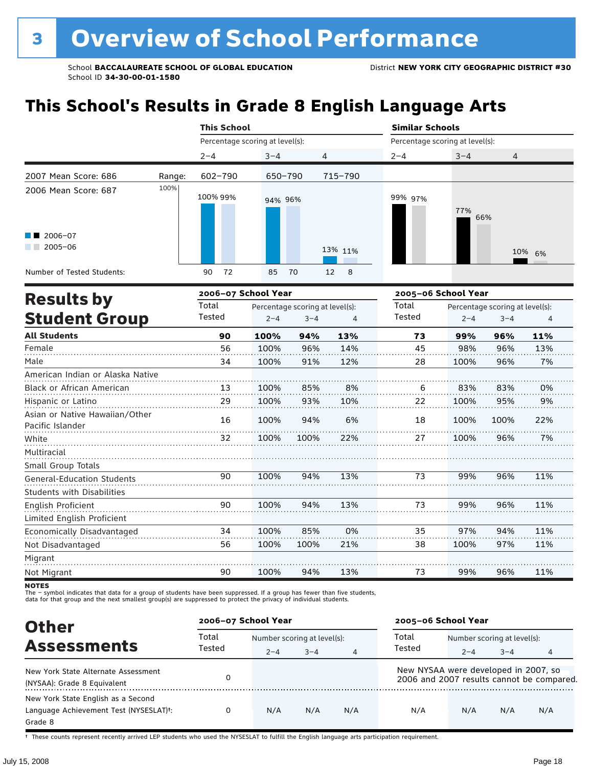## **This School's Results in Grade 8 English Language Arts**

|                            |        | <b>This School</b>              |          |                                               | <b>Similar Schools</b>          |            |        |
|----------------------------|--------|---------------------------------|----------|-----------------------------------------------|---------------------------------|------------|--------|
|                            |        | Percentage scoring at level(s): |          |                                               | Percentage scoring at level(s): |            |        |
|                            |        | $2 - 4$                         | $3 - 4$  | $\overline{4}$                                | $2 - 4$                         | $3 - 4$    | 4      |
| 2007 Mean Score: 686       | Range: | 602-790                         | 650-790  | 715-790                                       |                                 |            |        |
| 2006 Mean Score: 687       | 100%   | 100% 99%                        | 94% 96%  |                                               | 99% 97%                         | 77%<br>66% |        |
| $\blacksquare$ 2006-07     |        |                                 |          |                                               |                                 |            |        |
| 2005-06                    |        |                                 |          | 13% 11%                                       |                                 |            | 10% 6% |
| Number of Tested Students: |        | 72<br>90                        | 85<br>70 | $\overline{\phantom{a}}$ 8<br>12 <sup>2</sup> |                                 |            |        |

|                                                    |        | 2006-07 School Year |                                 | 2005-06 School Year |        |         |                                 |     |
|----------------------------------------------------|--------|---------------------|---------------------------------|---------------------|--------|---------|---------------------------------|-----|
| <b>Results by</b>                                  | Total  |                     | Percentage scoring at level(s): |                     | Total  |         | Percentage scoring at level(s): |     |
| <b>Student Group</b>                               | Tested | $2 - 4$             | $3 - 4$                         | 4                   | Tested | $2 - 4$ | $3 - 4$                         | 4   |
| <b>All Students</b>                                | 90     | 100%                | 94%                             | 13%                 | 73     | 99%     | 96%                             | 11% |
| Female                                             | 56     | 100%                | 96%                             | 14%                 | 45     | 98%     | 96%                             | 13% |
| Male                                               | 34     | 100%                | 91%                             | 12%                 | 28     | 100%    | 96%                             | 7%  |
| American Indian or Alaska Native                   |        |                     |                                 |                     |        |         |                                 |     |
| <b>Black or African American</b>                   | 13     | 100%                | 85%                             | 8%                  | 6      | 83%     | 83%                             | 0%  |
| Hispanic or Latino                                 | 29     | 100%                | 93%                             | 10%                 | 22     | 100%    | 95%                             | 9%  |
| Asian or Native Hawaiian/Other<br>Pacific Islander | 16     | 100%                | 94%                             | 6%                  | 18     | 100%    | 100%                            | 22% |
| White                                              | 32     | 100%                | 100%                            | 22%                 | 27     | 100%    | 96%                             | 7%  |
| Multiracial                                        |        |                     |                                 |                     |        |         |                                 |     |
| Small Group Totals                                 |        |                     |                                 |                     |        |         |                                 |     |
| <b>General-Education Students</b>                  | 90     | 100%                | 94%                             | 13%                 | 73     | 99%     | 96%                             | 11% |
| <b>Students with Disabilities</b>                  |        |                     |                                 |                     |        |         |                                 |     |
| English Proficient                                 | 90     | 100%                | 94%                             | 13%                 | 73     | 99%     | 96%                             | 11% |
| Limited English Proficient                         |        |                     |                                 |                     |        |         |                                 |     |
| Economically Disadvantaged                         | 34     | 100%                | 85%                             | 0%                  | 35     | 97%     | 94%                             | 11% |
| Not Disadvantaged                                  | 56     | 100%                | 100%                            | 21%                 | 38     | 100%    | 97%                             | 11% |
| Migrant                                            |        |                     |                                 |                     |        |         |                                 |     |
| Not Migrant                                        | 90     | 100%                | 94%                             | 13%                 | 73     | 99%     | 96%                             | 11% |

**NOTES** 

The – symbol indicates that data for a group of students have been suppressed. If a group has fewer than five students,<br>data for that group and the next smallest group(s) are suppressed to protect the privacy of individual

| <b>Other</b>                                                                                         | 2006-07 School Year |         |                             |                | 2005-06 School Year                  |                             |         |                                           |
|------------------------------------------------------------------------------------------------------|---------------------|---------|-----------------------------|----------------|--------------------------------------|-----------------------------|---------|-------------------------------------------|
|                                                                                                      | Total               |         | Number scoring at level(s): |                |                                      | Number scoring at level(s): |         |                                           |
| <b>Assessments</b>                                                                                   | Tested              | $2 - 4$ | $3 - 4$                     | $\overline{4}$ | Tested                               | $2 - 4$                     | $3 - 4$ | 4                                         |
| New York State Alternate Assessment<br>(NYSAA): Grade 8 Equivalent                                   |                     |         |                             |                | New NYSAA were developed in 2007, so |                             |         | 2006 and 2007 results cannot be compared. |
| New York State English as a Second<br>Language Achievement Test (NYSESLAT) <sup>+</sup> :<br>Grade 8 | 0                   | N/A     | N/A                         | N/A            | N/A                                  | N/A                         | N/A     | N/A                                       |

† These counts represent recently arrived LEP students who used the NYSESLAT to fulfill the English language arts participation requirement.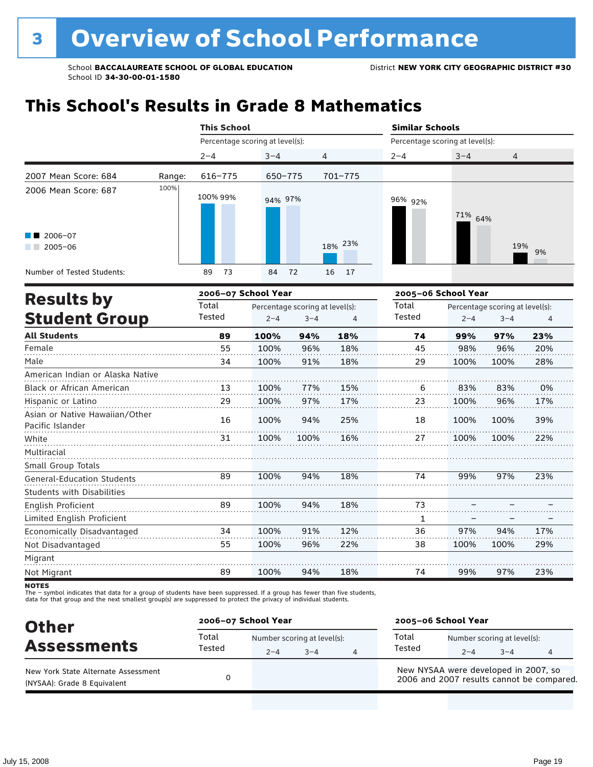## **This School's Results in Grade 8 Mathematics**

|                                                               |        | <b>This School</b>              |          |         | <b>Similar Schools</b> |                                 |           |
|---------------------------------------------------------------|--------|---------------------------------|----------|---------|------------------------|---------------------------------|-----------|
|                                                               |        | Percentage scoring at level(s): |          |         |                        | Percentage scoring at level(s): |           |
|                                                               |        | $2 - 4$                         | $3 - 4$  | 4       | $2 - 4$                | $3 - 4$                         | 4         |
| 2007 Mean Score: 684                                          | Range: | 616-775                         | 650-775  | 701-775 |                        |                                 |           |
| 2006 Mean Score: 687<br>$\blacksquare$ 2006-07<br>$2005 - 06$ | 100%   | 100% 99%                        | 94% 97%  | 18% 23% | 96% 92%                | 71% 64%                         | 19%<br>9% |
| Number of Tested Students:                                    |        | 73<br>89                        | 72<br>84 | 16 17   |                        |                                 |           |
| Deedle ku                                                     |        | 2006-07 School Year             |          |         |                        | 2005-06 School Year             |           |

|        |                                 |         | 2005–06 School Year |        |         |                                 |                |
|--------|---------------------------------|---------|---------------------|--------|---------|---------------------------------|----------------|
| Total  | Percentage scoring at level(s): |         |                     | Total  |         | Percentage scoring at level(s): |                |
| Tested | $2 - 4$                         | $3 - 4$ | 4                   | Tested | $2 - 4$ | $3 - 4$                         | $\overline{4}$ |
| 89     | 100%                            | 94%     | 18%                 | 74     | 99%     | 97%                             | 23%            |
| 55     | 100%                            | 96%     | 18%                 | 45     | 98%     | 96%                             | 20%            |
| 34     | 100%                            | 91%     | 18%                 | 29     | 100%    | 100%                            | 28%            |
|        |                                 |         |                     |        |         |                                 |                |
| 13     | 100%                            | 77%     | 15%                 | 6      | 83%     | 83%                             | 0%             |
| 29     | 100%                            | 97%     | 17%                 | 23     | 100%    | 96%                             | 17%            |
| 16     | 100%                            | 94%     | 25%                 | 18     | 100%    | 100%                            | 39%            |
| 31     | 100%                            | 100%    | 16%                 | 27     | 100%    | 100%                            | 22%            |
|        |                                 |         |                     |        |         |                                 |                |
|        |                                 |         |                     |        |         |                                 |                |
| 89     | 100%                            | 94%     | 18%                 | 74     | 99%     | 97%                             | 23%            |
|        |                                 |         |                     |        |         |                                 |                |
| 89     | 100%                            | 94%     | 18%                 | 73     |         |                                 |                |
|        |                                 |         |                     | 1      |         |                                 |                |
| 34     | 100%                            | 91%     | 12%                 | 36     | 97%     | 94%                             | 17%            |
| 55     | 100%                            | 96%     | 22%                 | 38     | 100%    | 100%                            | 29%            |
|        |                                 |         |                     |        |         |                                 |                |
| 89     | 100%                            | 94%     | 18%                 | 74     | 99%     | 97%                             | 23%            |
|        |                                 |         |                     |        |         |                                 |                |

**NOTES** 

The – symbol indicates that data for a group of students have been suppressed. If a group has fewer than five students,<br>data for that group and the next smallest group(s) are suppressed to protect the privacy of individual

| <b>Other</b>                                                       | 2006-07 School Year |                                        |         |   | 2005-06 School Year                                                               |                                        |         |  |  |
|--------------------------------------------------------------------|---------------------|----------------------------------------|---------|---|-----------------------------------------------------------------------------------|----------------------------------------|---------|--|--|
| <b>Assessments</b>                                                 | Total<br>Tested     | Number scoring at level(s):<br>$2 - 4$ | $3 - 4$ | 4 | Total<br>Tested                                                                   | Number scoring at level(s):<br>$2 - 4$ | $3 - 4$ |  |  |
| New York State Alternate Assessment<br>(NYSAA): Grade 8 Equivalent |                     |                                        |         |   | New NYSAA were developed in 2007, so<br>2006 and 2007 results cannot be compared. |                                        |         |  |  |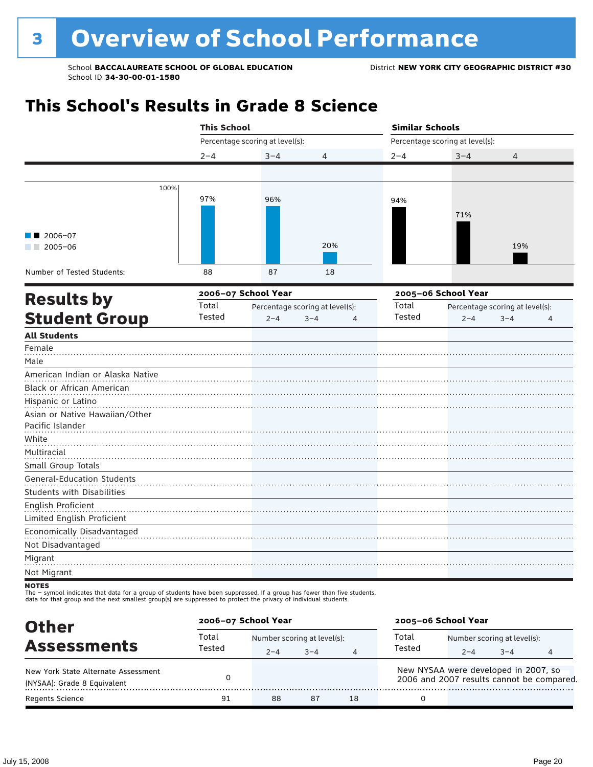## **This School's Results in Grade 8 Science**

|                                                                                                                                         | <b>This School</b> |                                 |                                 | <b>Similar Schools</b> |                                 |                                 |  |
|-----------------------------------------------------------------------------------------------------------------------------------------|--------------------|---------------------------------|---------------------------------|------------------------|---------------------------------|---------------------------------|--|
|                                                                                                                                         |                    | Percentage scoring at level(s): |                                 |                        | Percentage scoring at level(s): |                                 |  |
|                                                                                                                                         | $2 - 4$            | $3 - 4$                         | 4                               | $2 - 4$                | $3 - 4$                         | 4                               |  |
|                                                                                                                                         |                    |                                 |                                 |                        |                                 |                                 |  |
| 100%                                                                                                                                    |                    |                                 |                                 |                        |                                 |                                 |  |
|                                                                                                                                         | 97%                | 96%                             |                                 | 94%                    |                                 |                                 |  |
|                                                                                                                                         |                    |                                 |                                 |                        | 71%                             |                                 |  |
|                                                                                                                                         |                    |                                 |                                 |                        |                                 |                                 |  |
| 2006-07<br>$\blacksquare$ 2005-06                                                                                                       |                    |                                 | 20%                             |                        |                                 | 19%                             |  |
|                                                                                                                                         |                    |                                 |                                 |                        |                                 |                                 |  |
| Number of Tested Students:                                                                                                              | 88                 | 87                              | 18                              |                        |                                 |                                 |  |
| <b>Results by</b>                                                                                                                       |                    | 2006-07 School Year             |                                 |                        | 2005-06 School Year             |                                 |  |
|                                                                                                                                         | Total              |                                 | Percentage scoring at level(s): | Total                  |                                 | Percentage scoring at level(s): |  |
| <b>Student Group</b>                                                                                                                    | Tested             | $2 - 4$                         | $3 - 4$<br>4                    | Tested                 | $2 - 4$                         | $3 - 4$<br>$\overline{4}$       |  |
| <b>All Students</b>                                                                                                                     |                    |                                 |                                 |                        |                                 |                                 |  |
| Female                                                                                                                                  |                    |                                 |                                 |                        |                                 |                                 |  |
| Male                                                                                                                                    |                    |                                 |                                 |                        |                                 |                                 |  |
| American Indian or Alaska Native                                                                                                        |                    |                                 |                                 |                        |                                 |                                 |  |
| Black or African American                                                                                                               |                    |                                 |                                 |                        |                                 |                                 |  |
| Hispanic or Latino                                                                                                                      |                    |                                 |                                 |                        |                                 |                                 |  |
| Asian or Native Hawaiian/Other                                                                                                          |                    |                                 |                                 |                        |                                 |                                 |  |
| Pacific Islander                                                                                                                        |                    |                                 |                                 |                        |                                 |                                 |  |
| White                                                                                                                                   |                    |                                 |                                 |                        |                                 |                                 |  |
| Multiracial<br>Small Group Totals                                                                                                       |                    |                                 |                                 |                        |                                 |                                 |  |
| General-Education Students                                                                                                              |                    |                                 |                                 |                        |                                 |                                 |  |
| <b>Students with Disabilities</b>                                                                                                       |                    |                                 |                                 |                        |                                 |                                 |  |
| English Proficient                                                                                                                      |                    |                                 |                                 |                        |                                 |                                 |  |
| Limited English Proficient                                                                                                              |                    |                                 |                                 |                        |                                 |                                 |  |
| Economically Disadvantaged                                                                                                              |                    |                                 |                                 |                        |                                 |                                 |  |
| Not Disadvantaged                                                                                                                       |                    |                                 |                                 |                        |                                 |                                 |  |
| Migrant                                                                                                                                 |                    |                                 |                                 |                        |                                 |                                 |  |
| Not Migrant                                                                                                                             |                    |                                 |                                 |                        |                                 |                                 |  |
| <b>NOTES</b><br>The - symbol indicates that data for a group of students have been suppressed. If a group has fewer than five students, |                    |                                 |                                 |                        |                                 |                                 |  |

The – symbol indicates that data for a group of students have been suppressed. If a group has fewer than five students,<br>data for that group and the next smallest group(s) are suppressed to protect the privacy of individual

| <b>Other</b>                                                       | 2006-07 School Year |                                                        |    |    | 2005-06 School Year                                                               |                                                   |  |  |  |
|--------------------------------------------------------------------|---------------------|--------------------------------------------------------|----|----|-----------------------------------------------------------------------------------|---------------------------------------------------|--|--|--|
| <b>Assessments</b>                                                 | Total<br>Tested     | Number scoring at level(s):<br>$3 - 4$<br>$2 - 4$<br>4 |    |    | Total<br>Tested                                                                   | Number scoring at level(s):<br>$3 - 4$<br>$2 - 4$ |  |  |  |
| New York State Alternate Assessment<br>(NYSAA): Grade 8 Equivalent |                     |                                                        |    |    | New NYSAA were developed in 2007, so<br>2006 and 2007 results cannot be compared. |                                                   |  |  |  |
| <b>Regents Science</b>                                             | 91                  | 88                                                     | 87 | 18 |                                                                                   |                                                   |  |  |  |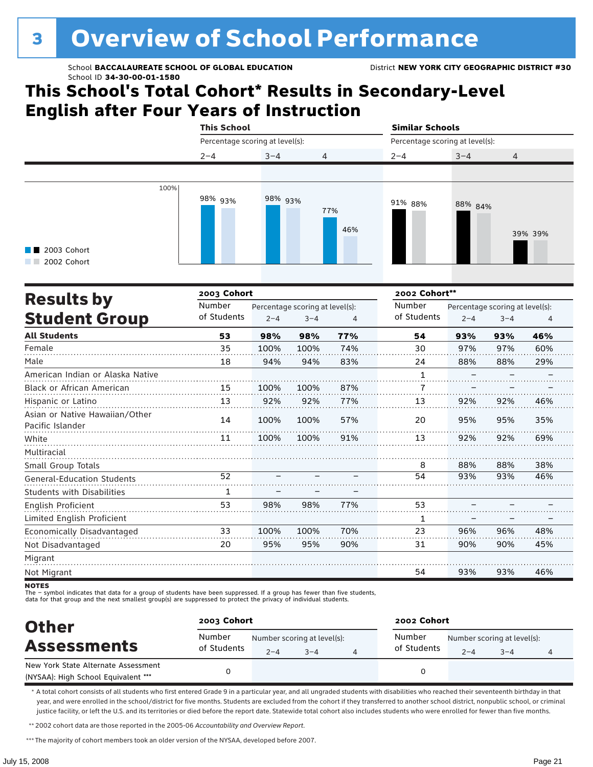### **This School's Total Cohort\* Results in Secondary-Level English after Four Years of Instruction**

|                                                   | <b>This School</b> |                                 |                | <b>Similar Schools</b>          |         |                |  |  |  |
|---------------------------------------------------|--------------------|---------------------------------|----------------|---------------------------------|---------|----------------|--|--|--|
|                                                   |                    | Percentage scoring at level(s): |                | Percentage scoring at level(s): |         |                |  |  |  |
|                                                   | $2 - 4$            | $3 - 4$                         | $\overline{4}$ | $2 - 4$                         | $3 - 4$ | $\overline{4}$ |  |  |  |
|                                                   |                    |                                 |                |                                 |         |                |  |  |  |
| 100%<br>$\blacksquare$ 2003 Cohort<br>2002 Cohort | 98% <sub>93%</sub> | 98% 93%                         | 77%<br>46%     | 91% 88%                         | 88% 84% | 39% 39%        |  |  |  |

|                                                    | 2003 Cohort |         |                                 |     | 2002 Cohort** |                                 |         |     |  |
|----------------------------------------------------|-------------|---------|---------------------------------|-----|---------------|---------------------------------|---------|-----|--|
| <b>Results by</b>                                  | Number      |         | Percentage scoring at level(s): |     | Number        | Percentage scoring at level(s): |         |     |  |
| <b>Student Group</b>                               | of Students | $2 - 4$ | $3 - 4$                         | 4   | of Students   | $2 - 4$                         | $3 - 4$ | 4   |  |
| <b>All Students</b>                                | 53          | 98%     | 98%                             | 77% | 54            | 93%                             | 93%     | 46% |  |
| Female                                             | 35          | 100%    | 100%                            | 74% | 30            | 97%                             | 97%     | 60% |  |
| Male                                               | 18          | 94%     | 94%                             | 83% | 24            | 88%                             | 88%     | 29% |  |
| American Indian or Alaska Native                   |             |         |                                 |     | 1             |                                 |         |     |  |
| <b>Black or African American</b>                   | 15          | 100%    | 100%                            | 87% | 7             |                                 |         |     |  |
| Hispanic or Latino                                 | 13          | 92%     | 92%                             | 77% | 13            | 92%                             | 92%     | 46% |  |
| Asian or Native Hawaiian/Other<br>Pacific Islander | 14          | 100%    | 100%                            | 57% | 20            | 95%                             | 95%     | 35% |  |
| White                                              | 11          | 100%    | 100%                            | 91% | 13            | 92%                             | 92%     | 69% |  |
| Multiracial                                        |             |         |                                 |     |               |                                 |         |     |  |
| Small Group Totals                                 |             |         |                                 |     | 8             | 88%                             | 88%     | 38% |  |
| <b>General-Education Students</b>                  | 52          |         |                                 |     | 54            | 93%                             | 93%     | 46% |  |
| <b>Students with Disabilities</b>                  | 1           |         |                                 |     |               |                                 |         |     |  |
| English Proficient                                 | 53          | 98%     | 98%                             | 77% | 53            |                                 |         |     |  |
| Limited English Proficient                         |             |         |                                 |     | 1             |                                 |         |     |  |
| Economically Disadvantaged                         | 33          | 100%    | 100%                            | 70% | 23            | 96%                             | 96%     | 48% |  |
| Not Disadvantaged                                  | 20          | 95%     | 95%                             | 90% | 31            | 90%                             | 90%     | 45% |  |
| Migrant                                            |             |         |                                 |     |               |                                 |         |     |  |
| Not Migrant                                        |             |         |                                 |     | 54            | 93%                             | 93%     | 46% |  |

**NOTES** 

The – symbol indicates that data for a group of students have been suppressed. If a group has fewer than five students,<br>data for that group and the next smallest group(s) are suppressed to protect the privacy of individual

| <b>Other</b>                                                               | 2003 Cohort           |         |                                        | 2002 Cohort           |         |                                        |   |  |
|----------------------------------------------------------------------------|-----------------------|---------|----------------------------------------|-----------------------|---------|----------------------------------------|---|--|
| <b>Assessments</b>                                                         | Number<br>of Students | $2 - 4$ | Number scoring at level(s):<br>$3 - 4$ | Number<br>of Students | $2 - 4$ | Number scoring at level(s):<br>$3 - 4$ | 4 |  |
| New York State Alternate Assessment<br>(NYSAA): High School Equivalent *** |                       |         |                                        |                       |         |                                        |   |  |

\* A total cohort consists of all students who first entered Grade 9 in a particular year, and all ungraded students with disabilities who reached their seventeenth birthday in that year, and were enrolled in the school/district for five months. Students are excluded from the cohort if they transferred to another school district, nonpublic school, or criminal justice facility, or left the U.S. and its territories or died before the report date. Statewide total cohort also includes students who were enrolled for fewer than five months.

\*\*2002 cohort data are those reported in the 2005-06 *Accountability and Overview Report*.

\*\*\* The majority of cohort members took an older version of the NYSAA, developed before 2007.